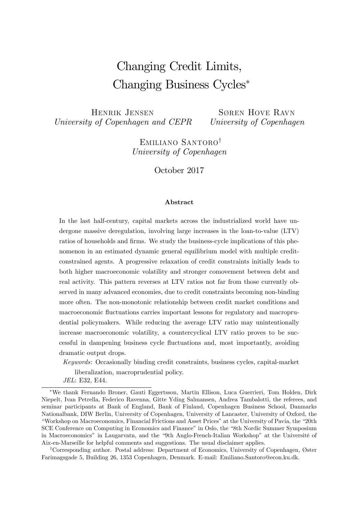# Changing Credit Limits, Changing Business Cycles

<span id="page-0-0"></span>Henrik Jensen University of Copenhagen and CEPR

SØREN HOVE RAVN University of Copenhagen

EMILIANO SANTORO<sup>†</sup> University of Copenhagen

October 2017

#### Abstract

In the last half-century, capital markets across the industrialized world have undergone massive deregulation, involving large increases in the loan-to-value (LTV) ratios of households and firms. We study the business-cycle implications of this phenomenon in an estimated dynamic general equilibrium model with multiple creditconstrained agents. A progressive relaxation of credit constraints initially leads to both higher macroeconomic volatility and stronger comovement between debt and real activity. This pattern reverses at LTV ratios not far from those currently observed in many advanced economies, due to credit constraints becoming non-binding more often. The non-monotonic relationship between credit market conditions and macroeconomic fluctuations carries important lessons for regulatory and macroprudential policymakers. While reducing the average LTV ratio may unintentionally increase macroeconomic volatility, a countercyclical LTV ratio proves to be successful in dampening business cycle fluctuations and, most importantly, avoiding dramatic output drops.

Keywords: Occasionally binding credit constraints, business cycles, capital-market

liberalization, macroprudential policy.

JEL: E32, E44.

We thank Fernando Broner, Gauti Eggertsson, Martin Ellison, Luca Guerrieri, Tom Holden, Dirk Niepelt, Ivan Petrella, Federico Ravenna, Gitte Yding Salmansen, Andrea Tambalotti, the referees, and seminar participants at Bank of England, Bank of Finland, Copenhagen Business School, Danmarks Nationalbank, DIW Berlin, University of Copenhagen, University of Lancaster, University of Oxford, the ìWorkshop on Macroeconomics, Financial Frictions and Asset Pricesîat the University of Pavia, the ì20th SCE Conference on Computing in Economics and Finance" in Oslo, the "8th Nordic Summer Symposium in Macroeconomics" in Laugarvatn, and the "9th Anglo-French-Italian Workshop" at the Université of Aix-en-Marseille for helpful comments and suggestions. The usual disclaimer applies.

<sup>&</sup>lt;sup>†</sup>Corresponding author. Postal address: Department of Economics, University of Copenhagen, Øster Farimagsgade 5, Building 26, 1353 Copenhagen, Denmark. E-mail: Emiliano.Santoro@econ.ku.dk.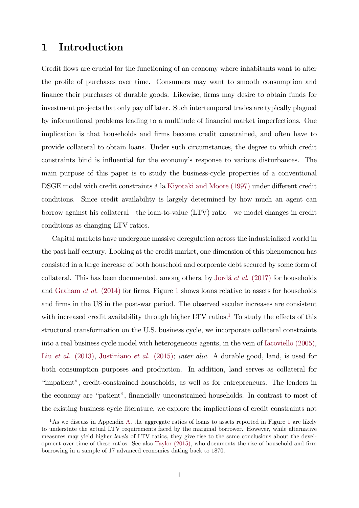## <span id="page-1-1"></span>1 Introduction

Credit flows are crucial for the functioning of an economy where inhabitants want to alter the profile of purchases over time. Consumers may want to smooth consumption and finance their purchases of durable goods. Likewise, firms may desire to obtain funds for investment projects that only pay off later. Such intertemporal trades are typically plagued by informational problems leading to a multitude of Önancial market imperfections. One implication is that households and Örms become credit constrained, and often have to provide collateral to obtain loans. Under such circumstances, the degree to which credit constraints bind is influential for the economy's response to various disturbances. The main purpose of this paper is to study the business-cycle properties of a conventional DSGE model with credit constraints à la [Kiyotaki and Moore \(1997\)](#page-39-0) under different credit conditions. Since credit availability is largely determined by how much an agent can borrow against his collateral—the loan-to-value (LTV) ratio—we model changes in credit conditions as changing LTV ratios.

Capital markets have undergone massive deregulation across the industrialized world in the past half-century. Looking at the credit market, one dimension of this phenomenon has consisted in a large increase of both household and corporate debt secured by some form of collateral. This has been documented, among others, by Jordá *et al.*  $(2017)$  for households and [Graham](#page-37-0) *et al.*  $(2014)$  $(2014)$  $(2014)$  for firms. Figure 1 shows loans relative to assets for households and firms in the US in the post-war period. The observed secular increases are consistent with increased credit availability through higher LTV ratios.<sup>[1](#page-1-0)</sup> To study the effects of this structural transformation on the U.S. business cycle, we incorporate collateral constraints into a real business cycle model with heterogeneous agents, in the vein of [Iacoviello \(2005\),](#page-38-0) Liu et al. [\(2013\),](#page-39-2) [Justiniano](#page-39-3) et al. (2015); inter alia. A durable good, land, is used for both consumption purposes and production. In addition, land serves as collateral for ìimpatientî, credit-constrained households, as well as for entrepreneurs. The lenders in the economy are "patient", financially unconstrained households. In contrast to most of the existing business cycle literature, we explore the implications of credit constraints not

<span id="page-1-0"></span><sup>&</sup>lt;sup>1</sup>As we discuss in Appendix [A,](#page-1-1) the aggregate ratios of loans to assets reported in Figure [1](#page-2-0) are likely to understate the actual LTV requirements faced by the marginal borrower. However, while alternative measures may yield higher levels of LTV ratios, they give rise to the same conclusions about the devel-opment over time of these ratios. See also [Taylor \(2015\),](#page-40-0) who documents the rise of household and firm borrowing in a sample of 17 advanced economies dating back to 1870.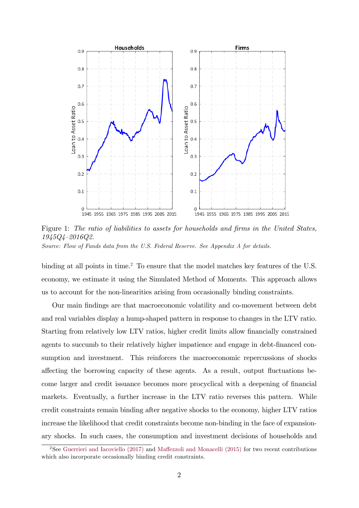

<span id="page-2-0"></span>Figure 1: The ratio of liabilities to assets for households and firms in the United States,  $1945Q$  $4 - 2016Q$  $2$ . Source: Flow of Funds data from the U.S. Federal Reserve. See Appendix [A](#page-1-1) for details.

binding at all points in time.<sup>[2](#page-2-1)</sup> To ensure that the model matches key features of the U.S. economy, we estimate it using the Simulated Method of Moments. This approach allows us to account for the non-linearities arising from occasionally binding constraints.

Our main Öndings are that macroeconomic volatility and co-movement between debt and real variables display a hump-shaped pattern in response to changes in the LTV ratio. Starting from relatively low LTV ratios, higher credit limits allow financially constrained agents to succumb to their relatively higher impatience and engage in debt-Önanced consumption and investment. This reinforces the macroeconomic repercussions of shocks affecting the borrowing capacity of these agents. As a result, output fluctuations become larger and credit issuance becomes more procyclical with a deepening of financial markets. Eventually, a further increase in the LTV ratio reverses this pattern. While credit constraints remain binding after negative shocks to the economy, higher LTV ratios increase the likelihood that credit constraints become non-binding in the face of expansionary shocks. In such cases, the consumption and investment decisions of households and

<span id="page-2-1"></span><sup>&</sup>lt;sup>2</sup>See [Guerrieri and Iacoviello \(2017\)](#page-38-1) and Maffezzoli and Monacelli (2015) for two recent contributions which also incorporate occasionally binding credit constraints.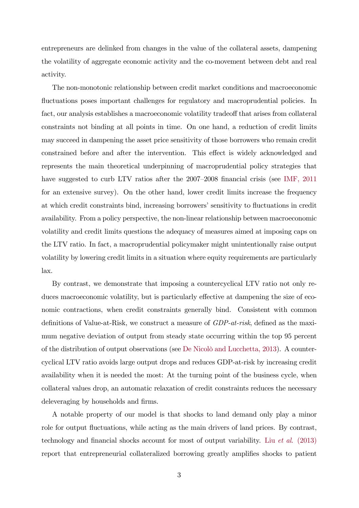entrepreneurs are delinked from changes in the value of the collateral assets, dampening the volatility of aggregate economic activity and the co-movement between debt and real activity.

The non-monotonic relationship between credit market conditions and macroeconomic fluctuations poses important challenges for regulatory and macroprudential policies. In fact, our analysis establishes a macroeconomic volatility tradeoff that arises from collateral constraints not binding at all points in time. On one hand, a reduction of credit limits may succeed in dampening the asset price sensitivity of those borrowers who remain credit constrained before and after the intervention. This effect is widely acknowledged and represents the main theoretical underpinning of macroprudential policy strategies that have suggested to curb LTV ratios after the  $2007-2008$  financial crisis (see [IMF, 2011](#page-38-2)) for an extensive survey). On the other hand, lower credit limits increase the frequency at which credit constraints bind, increasing borrowers' sensitivity to fluctuations in credit availability. From a policy perspective, the non-linear relationship between macroeconomic volatility and credit limits questions the adequacy of measures aimed at imposing caps on the LTV ratio. In fact, a macroprudential policymaker might unintentionally raise output volatility by lowering credit limits in a situation where equity requirements are particularly lax.

By contrast, we demonstrate that imposing a countercyclical LTV ratio not only reduces macroeconomic volatility, but is particularly effective at dampening the size of economic contractions, when credit constraints generally bind. Consistent with common definitions of Value-at-Risk, we construct a measure of  $GDP-at-risk$ , defined as the maximum negative deviation of output from steady state occurring within the top 95 percent of the distribution of output observations (see De Nicolò and Lucchetta, 2013). A countercyclical LTV ratio avoids large output drops and reduces GDP-at-risk by increasing credit availability when it is needed the most: At the turning point of the business cycle, when collateral values drop, an automatic relaxation of credit constraints reduces the necessary deleveraging by households and firms.

A notable property of our model is that shocks to land demand only play a minor role for output fluctuations, while acting as the main drivers of land prices. By contrast, technology and financial shocks account for most of output variability. Liu  $et$  al[. \(2013\)](#page-39-2) report that entrepreneurial collateralized borrowing greatly amplifies shocks to patient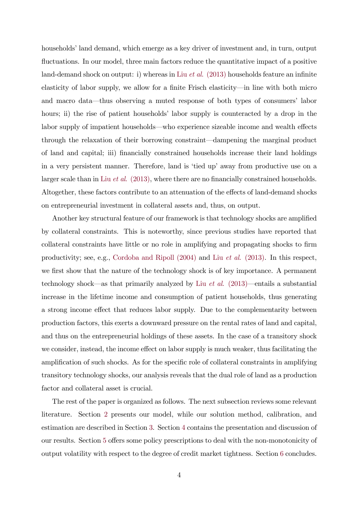households' land demand, which emerge as a key driver of investment and, in turn, output fluctuations. In our model, three main factors reduce the quantitative impact of a positive land-demand shock on output: i) whereas in Liu *et al.*  $(2013)$  households feature an infinite elasticity of labor supply, we allow for a finite Frisch elasticity—in line with both micro and macro data—thus observing a muted response of both types of consumers' labor hours; ii) the rise of patient households' labor supply is counteracted by a drop in the labor supply of impatient households—who experience sizeable income and wealth effects through the relaxation of their borrowing constraint—dampening the marginal product of land and capital; iii) financially constrained households increase their land holdings in a very persistent manner. Therefore, land is ëtied upíaway from productive use on a larger scale than in Liu *et al.* (2013), where there are no financially constrained households. Altogether, these factors contribute to an attenuation of the effects of land-demand shocks on entrepreneurial investment in collateral assets and, thus, on output.

Another key structural feature of our framework is that technology shocks are amplified by collateral constraints. This is noteworthy, since previous studies have reported that collateral constraints have little or no role in amplifying and propagating shocks to firm productivity; see, e.g., [Cordoba and Ripoll \(2004\)](#page-36-0) and Liu et al[. \(2013\).](#page-39-2) In this respect, we first show that the nature of the technology shock is of key importance. A permanent technology shock—as that primarily analyzed by Liu et al.  $(2013)$ —entails a substantial increase in the lifetime income and consumption of patient households, thus generating a strong income effect that reduces labor supply. Due to the complementarity between production factors, this exerts a downward pressure on the rental rates of land and capital, and thus on the entrepreneurial holdings of these assets. In the case of a transitory shock we consider, instead, the income effect on labor supply is much weaker, thus facilitating the amplification of such shocks. As for the specific role of collateral constraints in amplifying transitory technology shocks, our analysis reveals that the dual role of land as a production factor and collateral asset is crucial.

The rest of the paper is organized as follows. The next subsection reviews some relevant literature. Section [2](#page-7-0) presents our model, while our solution method, calibration, and estimation are described in Section [3.](#page-12-0) Section [4](#page-17-0) contains the presentation and discussion of our results. Section [5](#page-31-0) offers some policy prescriptions to deal with the non-monotonicity of output volatility with respect to the degree of credit market tightness. Section [6](#page-34-0) concludes.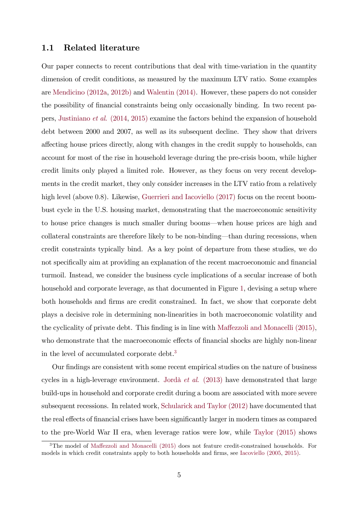#### 1.1 Related literature

Our paper connects to recent contributions that deal with time-variation in the quantity dimension of credit conditions, as measured by the maximum LTV ratio. Some examples are [Mendicino \(2012a,](#page-40-2) [2012b\)](#page-40-3) and [Walentin \(2014\).](#page-41-0) However, these papers do not consider the possibility of financial constraints being only occasionally binding. In two recent papers, [Justiniano](#page-39-4) et al. (2014, [2015\)](#page-39-3) examine the factors behind the expansion of household debt between 2000 and 2007, as well as its subsequent decline. They show that drivers a§ecting house prices directly, along with changes in the credit supply to households, can account for most of the rise in household leverage during the pre-crisis boom, while higher credit limits only played a limited role. However, as they focus on very recent developments in the credit market, they only consider increases in the LTV ratio from a relatively high level (above 0.8). Likewise, [Guerrieri and Iacoviello \(2017\)](#page-38-1) focus on the recent boombust cycle in the U.S. housing market, demonstrating that the macroeconomic sensitivity to house price changes is much smaller during booms—when house prices are high and collateral constraints are therefore likely to be non-binding—than during recessions, when credit constraints typically bind. As a key point of departure from these studies, we do not specifically aim at providing an explanation of the recent macroeconomic and financial turmoil. Instead, we consider the business cycle implications of a secular increase of both household and corporate leverage, as that documented in Figure [1,](#page-2-0) devising a setup where both households and firms are credit constrained. In fact, we show that corporate debt plays a decisive role in determining non-linearities in both macroeconomic volatility and the cyclicality of private debt. This finding is in line with Maffezzoli and Monacelli (2015), who demonstrate that the macroeconomic effects of financial shocks are highly non-linear in the level of accumulated corporate debt.[3](#page-5-0)

Our findings are consistent with some recent empirical studies on the nature of business cycles in a high-leverage environment. Jordà et al.  $(2013)$  have demonstrated that large build-ups in household and corporate credit during a boom are associated with more severe subsequent recessions. In related work, [Schularick and Taylor \(2012\)](#page-40-4) have documented that the real effects of financial crises have been significantly larger in modern times as compared to the pre-World War II era, when leverage ratios were low, while [Taylor \(2015\)](#page-40-0) shows

<span id="page-5-0"></span> $3$ The model of Maffezzoli and Monacelli (2015) does not feature credit-constrained households. For models in which credit constraints apply to both households and firms, see [Iacoviello \(2005,](#page-38-0) [2015\).](#page-38-3)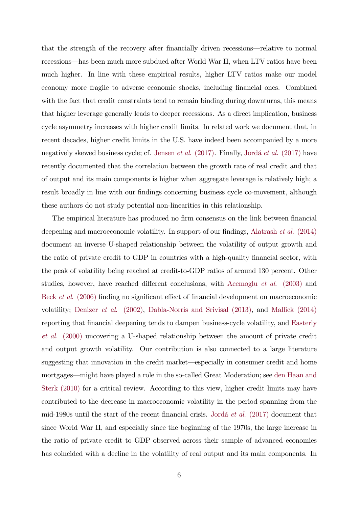that the strength of the recovery after financially driven recessions—relative to normal recessions—has been much more subdued after World War II, when LTV ratios have been much higher. In line with these empirical results, higher LTV ratios make our model economy more fragile to adverse economic shocks, including financial ones. Combined with the fact that credit constraints tend to remain binding during downturns, this means that higher leverage generally leads to deeper recessions. As a direct implication, business cycle asymmetry increases with higher credit limits. In related work we document that, in recent decades, higher credit limits in the U.S. have indeed been accompanied by a more negatively skewed business cycle; cf. Jensen et al.  $(2017)$ . Finally, Jordá et al.  $(2017)$  have recently documented that the correlation between the growth rate of real credit and that of output and its main components is higher when aggregate leverage is relatively high; a result broadly in line with our findings concerning business cycle co-movement, although these authors do not study potential non-linearities in this relationship.

The empirical literature has produced no firm consensus on the link between financial deepening and macroeconomic volatility. In support of our findings, [Alatrash](#page-35-0) *et al.*  $(2014)$ document an inverse U-shaped relationship between the volatility of output growth and the ratio of private credit to GDP in countries with a high-quality financial sector, with the peak of volatility being reached at credit-to-GDP ratios of around 130 percent. Other studies, however, have reached different conclusions, with [Acemoglu](#page-35-1) *et al.* (2003) and Beck et al[. \(2006\)](#page-35-2) finding no significant effect of financial development on macroeconomic volatility; Denizer et al[. \(2002\),](#page-37-2) [Dabla-Norris and Srivisal \(2013\),](#page-36-1) and [Mallick \(2014\)](#page-40-5) reporting that Önancial deepening tends to dampen business-cycle volatility, and [Easterly](#page-37-3) et al[. \(2000\)](#page-37-3) uncovering a U-shaped relationship between the amount of private credit and output growth volatility. Our contribution is also connected to a large literature suggesting that innovation in the credit market—especially in consumer credit and home mortgages—might have played a role in the so-called Great Moderation; see [den Haan and](#page-37-4) [Sterk \(2010\)](#page-37-4) for a critical review. According to this view, higher credit limits may have contributed to the decrease in macroeconomic volatility in the period spanning from the mid-1980s until the start of the recent financial crisis. Jordá *et al.* (2017) document that since World War II, and especially since the beginning of the 1970s, the large increase in the ratio of private credit to GDP observed across their sample of advanced economies has coincided with a decline in the volatility of real output and its main components. In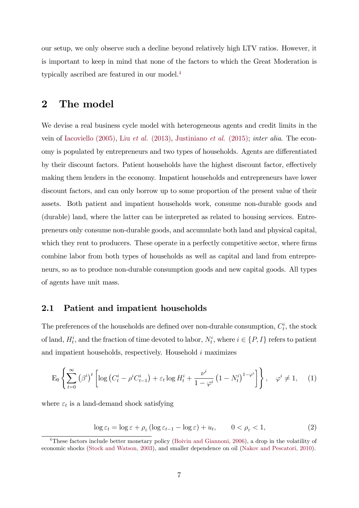our setup, we only observe such a decline beyond relatively high LTV ratios. However, it is important to keep in mind that none of the factors to which the Great Moderation is typically ascribed are featured in our model.<sup>[4](#page-7-1)</sup>

## <span id="page-7-0"></span>2 The model

We devise a real business cycle model with heterogeneous agents and credit limits in the vein of [Iacoviello \(2005\),](#page-38-0) Liu et al. [\(2013\),](#page-39-2) [Justiniano](#page-39-3) et al. (2015); inter alia. The economy is populated by entrepreneurs and two types of households. Agents are differentiated by their discount factors. Patient households have the highest discount factor, effectively making them lenders in the economy. Impatient households and entrepreneurs have lower discount factors, and can only borrow up to some proportion of the present value of their assets. Both patient and impatient households work, consume non-durable goods and (durable) land, where the latter can be interpreted as related to housing services. Entrepreneurs only consume non-durable goods, and accumulate both land and physical capital, which they rent to producers. These operate in a perfectly competitive sector, where firms combine labor from both types of households as well as capital and land from entrepreneurs, so as to produce non-durable consumption goods and new capital goods. All types of agents have unit mass.

### 2.1 Patient and impatient households

The preferences of the households are defined over non-durable consumption,  $C_t^i$ , the stock of land,  $H_t^i$ , and the fraction of time devoted to labor,  $N_t^i$ , where  $i \in \{P, I\}$  refers to patient and impatient households, respectively. Household  $i$  maximizes

<span id="page-7-2"></span>
$$
\mathcal{E}_0\left\{\sum_{t=0}^{\infty}\left(\beta^i\right)^t \left[\log\left(C_t^i - \rho^i C_{t-1}^i\right) + \varepsilon_t \log H_t^i + \frac{\nu^i}{1 - \varphi^i} \left(1 - N_t^i\right)^{1 - \varphi^i}\right]\right\}, \quad \varphi^i \neq 1,\tag{1}
$$

where  $\varepsilon_t$  is a land-demand shock satisfying

<span id="page-7-3"></span>
$$
\log \varepsilon_t = \log \varepsilon + \rho_\varepsilon \left( \log \varepsilon_{t-1} - \log \varepsilon \right) + u_t, \qquad 0 < \rho_\varepsilon < 1,\tag{2}
$$

<span id="page-7-1"></span><sup>&</sup>lt;sup>4</sup>These factors include better monetary policy [\(Boivin and Giannoni, 2006\)](#page-35-3), a drop in the volatility of economic shocks [\(Stock and Watson, 2003\)](#page-40-6), and smaller dependence on oil [\(Nakov and Pescatori, 2010\)](#page-40-7).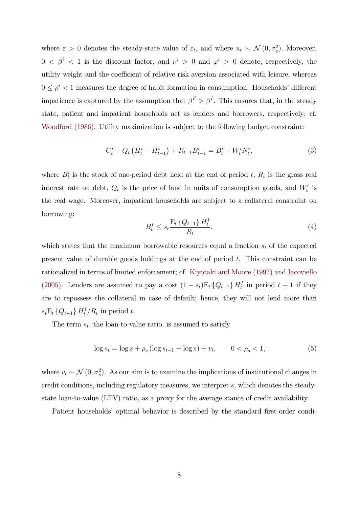where  $\varepsilon > 0$  denotes the steady-state value of  $\varepsilon_t$ , and where  $u_t \sim \mathcal{N}(0, \sigma_{\varepsilon}^2)$ . Moreover,  $0 < \beta^i < 1$  is the discount factor, and  $\nu^i > 0$  and  $\varphi^i > 0$  denote, respectively, the utility weight and the coefficient of relative risk aversion associated with leisure, whereas  $0 \le \rho^i < 1$  measures the degree of habit formation in consumption. Households' different impatience is captured by the assumption that  $\beta^P > \beta^I$ . This ensures that, in the steady state, patient and impatient households act as lenders and borrowers, respectively; cf. [Woodford \(1986\).](#page-41-1) Utility maximization is subject to the following budget constraint:

<span id="page-8-0"></span>
$$
C_t^i + Q_t \left( H_t^i - H_{t-1}^i \right) + R_{t-1} B_{t-1}^i = B_t^i + W_t^i N_t^i, \tag{3}
$$

where  $B_t^i$  is the stock of one-period debt held at the end of period t,  $R_t$  is the gross real interest rate on debt,  $Q_t$  is the price of land in units of consumption goods, and  $W_t^i$  is the real wage. Moreover, impatient households are subject to a collateral constraint on borrowing:

<span id="page-8-1"></span>
$$
B_t^I \le s_t \frac{\mathcal{E}_t \{Q_{t+1}\} H_t^I}{R_t},\tag{4}
$$

which states that the maximum borrowable resources equal a fraction  $s_t$  of the expected present value of durable goods holdings at the end of period t. This constraint can be rationalized in terms of limited enforcement; cf. [Kiyotaki and Moore \(1997\)](#page-39-0) and [Iacoviello](#page-38-0) [\(2005\).](#page-38-0) Lenders are assumed to pay a cost  $(1 - s_t) \mathbb{E}_t \{Q_{t+1}\} H_t^I$  in period  $t + 1$  if they are to repossess the collateral in case of default; hence, they will not lend more than  $s_t \mathbb{E}_t \{Q_{t+1}\} H_t^I/R_t$  in period t.

The term  $s_t$ , the loan-to-value ratio, is assumed to satisfy

<span id="page-8-2"></span>
$$
\log s_t = \log s + \rho_s \left( \log s_{t-1} - \log s \right) + v_t, \qquad 0 < \rho_s < 1,\tag{5}
$$

where  $v_t \sim \mathcal{N}(0, \sigma_s^2)$ . As our aim is to examine the implications of institutional changes in credit conditions, including regulatory measures, we interpret s, which denotes the steadystate loan-to-value (LTV) ratio, as a proxy for the average stance of credit availability.

Patient households' optimal behavior is described by the standard first-order condi-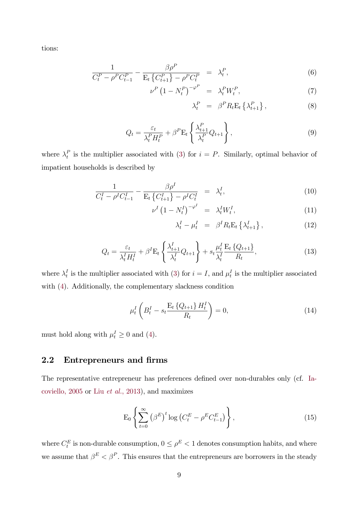tions:

<span id="page-9-0"></span>
$$
\frac{1}{C_t^P - \rho^P C_{t-1}^P} - \frac{\beta \rho^P}{\mathcal{E}_t \left\{ C_{t+1}^P \right\} - \rho^P C_t^P} = \lambda_t^P,
$$
\n(6)

$$
\left(1 - N_t^P\right)^{-\varphi^P} = \lambda_t^P W_t^P,\tag{7}
$$

$$
\lambda_t^P = \beta^P R_t \mathbf{E}_t \left\{ \lambda_{t+1}^P \right\},\tag{8}
$$

<span id="page-9-1"></span>
$$
Q_t = \frac{\varepsilon_t}{\lambda_t^P H_t^P} + \beta^P \mathbf{E}_t \left\{ \frac{\lambda_{t+1}^P}{\lambda_t^P} Q_{t+1} \right\},\tag{9}
$$

where  $\lambda_t^F$  $t<sub>t</sub><sup>P</sup>$  is the multiplier associated with [\(3\)](#page-8-0) for  $i = P$ . Similarly, optimal behavior of impatient households is described by

 $\nu^F$ 

<span id="page-9-2"></span>
$$
\frac{1}{C_t^I - \rho^I C_{t-1}^I} - \frac{\beta \rho^I}{\mathcal{E}_t \left\{ C_{t+1}^I \right\} - \rho^I C_t^I} = \lambda_t^I,
$$
\n(10)

$$
\nu^I \left(1 - N_t^I\right)^{-\varphi^I} = \lambda_t^I W_t^I, \tag{11}
$$

$$
\lambda_t^I - \mu_t^I = \beta^I R_t \mathcal{E}_t \left\{ \lambda_{t+1}^I \right\},\tag{12}
$$

<span id="page-9-3"></span>
$$
Q_t = \frac{\varepsilon_t}{\lambda_t^I H_t^I} + \beta^I \mathbf{E}_t \left\{ \frac{\lambda_{t+1}^I}{\lambda_t^I} Q_{t+1} \right\} + s_t \frac{\mu_t^I}{\lambda_t^I} \frac{\mathbf{E}_t \left\{ Q_{t+1} \right\}}{R_t},\tag{13}
$$

where  $\lambda_t^I$  $_t^I$  is the multiplier associated with [\(3\)](#page-8-0) for  $i = I$ , and  $\mu_t^I$  is the multiplier associated with  $(4)$ . Additionally, the complementary slackness condition

<span id="page-9-4"></span>
$$
\mu_t^I \left( B_t^I - s_t \frac{\mathcal{E}_t \{ Q_{t+1} \} H_t^I}{R_t} \right) = 0, \tag{14}
$$

must hold along with  $\mu_t^I \geq 0$  and [\(4\)](#page-8-1).

### 2.2 Entrepreneurs and firms

The representative entrepreneur has preferences defined over non-durables only (cf. [Ia](#page-38-0)[coviello, 2005](#page-38-0) or Liu et al.[, 2013\)](#page-39-2), and maximizes

<span id="page-9-5"></span>
$$
E_0 \left\{ \sum_{t=0}^{\infty} \left( \beta^E \right)^t \log \left( C_t^E - \rho^E C_{t-1}^E \right) \right\},\tag{15}
$$

where  $C_t^E$  is non-durable consumption,  $0 \le \rho^E < 1$  denotes consumption habits, and where we assume that  $\beta^E < \beta^P$ . This ensures that the entrepreneurs are borrowers in the steady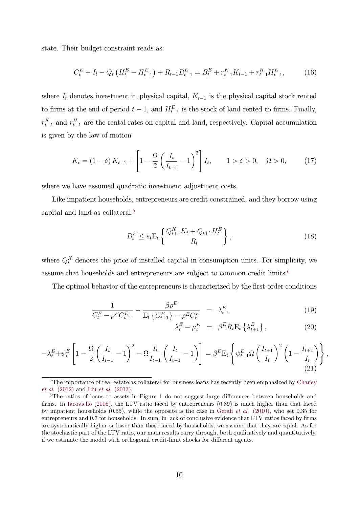state. Their budget constraint reads as:

<span id="page-10-2"></span>
$$
C_t^E + I_t + Q_t \left( H_t^E - H_{t-1}^E \right) + R_{t-1} B_{t-1}^E = B_t^E + r_{t-1}^K K_{t-1} + r_{t-1}^H H_{t-1}^E, \tag{16}
$$

where  $I_t$  denotes investment in physical capital,  $K_{t-1}$  is the physical capital stock rented to firms at the end of period  $t-1$ , and  $H_{t-1}^E$  is the stock of land rented to firms. Finally,  $r_{t-1}^K$  and  $r_{t-1}^H$  are the rental rates on capital and land, respectively. Capital accumulation is given by the law of motion

<span id="page-10-4"></span>
$$
K_t = (1 - \delta) K_{t-1} + \left[ 1 - \frac{\Omega}{2} \left( \frac{I_t}{I_{t-1}} - 1 \right)^2 \right] I_t, \qquad 1 > \delta > 0, \quad \Omega > 0,
$$
 (17)

where we have assumed quadratic investment adjustment costs.

Like impatient households, entrepreneurs are credit constrained, and they borrow using capital and land as collateral:[5](#page-10-0)

<span id="page-10-3"></span>
$$
B_t^E \le s_t \mathcal{E}_t \left\{ \frac{Q_{t+1}^K K_t + Q_{t+1} H_t^E}{R_t} \right\},\tag{18}
$$

where  $Q_t^K$  denotes the price of installed capital in consumption units. For simplicity, we assume that households and entrepreneurs are subject to common credit limits.<sup>[6](#page-10-1)</sup>

The optimal behavior of the entrepreneurs is characterized by the first-order conditions

<span id="page-10-5"></span>
$$
\frac{1}{C_t^E - \rho^E C_{t-1}^E} - \frac{\beta \rho^E}{E_t \left\{ C_{t+1}^E \right\} - \rho^E C_t^E} = \lambda_t^E,
$$
\n(19)

$$
\lambda_t^E - \mu_t^E = \beta^E R_t \mathbf{E}_t \left\{ \lambda_{t+1}^E \right\}, \tag{20}
$$

<span id="page-10-6"></span>
$$
-\lambda_t^E + \psi_t^E \left[ 1 - \frac{\Omega}{2} \left( \frac{I_t}{I_{t-1}} - 1 \right)^2 - \Omega \frac{I_t}{I_{t-1}} \left( \frac{I_t}{I_{t-1}} - 1 \right) \right] = \beta^E E_t \left\{ \psi_{t+1}^E \Omega \left( \frac{I_{t+1}}{I_t} \right)^2 \left( 1 - \frac{I_{t+1}}{I_t} \right) \right\},\tag{21}
$$

<span id="page-10-0"></span><sup>&</sup>lt;sup>5</sup>The importance of real estate as collateral for business loans has recently been emphasized by [Chaney](#page-36-2) et al[. \(2012\)](#page-36-2) and Liu et al[. \(2013\).](#page-39-2)

<span id="page-10-1"></span> $6$ The ratios of loans to assets in Figure 1 do not suggest large differences between households and firms. In Iacoviello  $(2005)$ , the LTV ratio faced by entrepreneurs  $(0.89)$  is much higher than that faced by impatient households  $(0.55)$ , while the opposite is the case in Gerali *et al.* (2010), who set 0.35 for entrepreneurs and 0.7 for households. In sum, in lack of conclusive evidence that LTV ratios faced by firms are systematically higher or lower than those faced by households, we assume that they are equal. As for the stochastic part of the LTV ratio, our main results carry through, both qualitatively and quantitatively, if we estimate the model with orthogonal credit-limit shocks for different agents.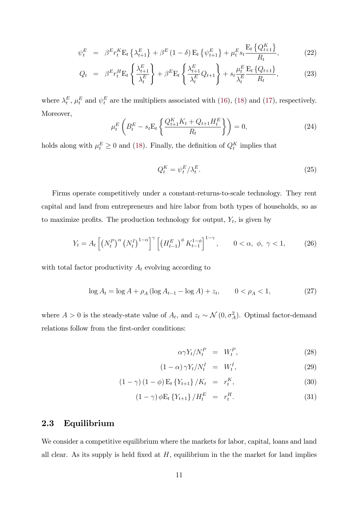$$
\psi_t^E = \beta^E r_t^K E_t \left\{ \lambda_{t+1}^E \right\} + \beta^E (1 - \delta) E_t \left\{ \psi_{t+1}^E \right\} + \mu_t^E s_t \frac{E_t \left\{ Q_{t+1}^K \right\}}{R_t},\tag{22}
$$

<span id="page-11-0"></span>
$$
Q_t = \beta^E r_t^H E_t \left\{ \frac{\lambda_{t+1}^E}{\lambda_t^E} \right\} + \beta^E E_t \left\{ \frac{\lambda_{t+1}^E}{\lambda_t^E} Q_{t+1} \right\} + s_t \frac{\mu_t^E}{\lambda_t^E} \frac{E_t \left\{ Q_{t+1} \right\}}{R_t},
$$
(23)

where  $\lambda_t^E$  $_t^E$ ,  $\mu_t^E$  and  $\psi_t^E$  are the multipliers associated with [\(16\)](#page-10-2), [\(18\)](#page-10-3) and [\(17\)](#page-10-4), respectively. Moreover,

<span id="page-11-4"></span>
$$
\mu_t^E \left( B_t^E - s_t E_t \left\{ \frac{Q_{t+1}^K K_t + Q_{t+1} H_t^E}{R_t} \right\} \right) = 0, \tag{24}
$$

holds along with  $\mu_t^E \geq 0$  and [\(18\)](#page-10-3). Finally, the definition of  $Q_t^K$  implies that

<span id="page-11-1"></span>
$$
Q_t^K = \psi_t^E / \lambda_t^E. \tag{25}
$$

Firms operate competitively under a constant-returns-to-scale technology. They rent capital and land from entrepreneurs and hire labor from both types of households, so as to maximize profits. The production technology for output,  $Y_t$ , is given by

<span id="page-11-3"></span>
$$
Y_t = A_t \left[ \left( N_t^P \right)^{\alpha} \left( N_t^I \right)^{1-\alpha} \right]^{\gamma} \left[ \left( H_{t-1}^E \right)^{\phi} K_{t-1}^{1-\phi} \right]^{1-\gamma}, \qquad 0 < \alpha, \ \phi, \ \gamma < 1, \tag{26}
$$

with total factor productivity  $A_t$  evolving according to

<span id="page-11-5"></span>
$$
\log A_t = \log A + \rho_A \left( \log A_{t-1} - \log A \right) + z_t, \qquad 0 < \rho_A < 1,\tag{27}
$$

where  $A > 0$  is the steady-state value of  $A_t$ , and  $z_t \sim \mathcal{N}(0, \sigma_A^2)$ . Optimal factor-demand relations follow from the first-order conditions:

<span id="page-11-2"></span>
$$
\alpha \gamma Y_t / N_t^P = W_t^P, \qquad (28)
$$

$$
(1 - \alpha) \gamma Y_t / N_t^I = W_t^I, \qquad (29)
$$

$$
(1 - \gamma) (1 - \phi) E_t \{ Y_{t+1} \} / K_t = r_t^K,
$$
\n(30)

$$
(1 - \gamma) \phi E_t \{ Y_{t+1} \} / H_t^E = r_t^H. \tag{31}
$$

#### 2.3 Equilibrium

We consider a competitive equilibrium where the markets for labor, capital, loans and land all clear. As its supply is held fixed at  $H$ , equilibrium in the the market for land implies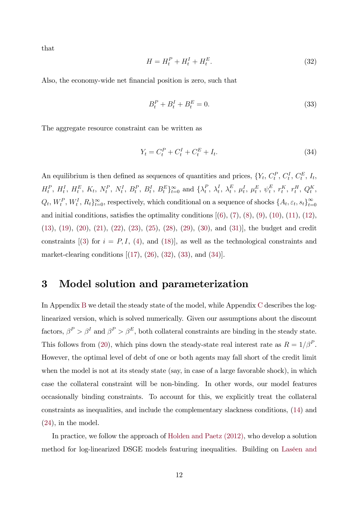that

<span id="page-12-1"></span>
$$
H = H_t^P + H_t^I + H_t^E. \tag{32}
$$

Also, the economy-wide net financial position is zero, such that

<span id="page-12-2"></span>
$$
B_t^P + B_t^I + B_t^E = 0.
$$
\n(33)

The aggregate resource constraint can be written as

<span id="page-12-3"></span>
$$
Y_t = C_t^P + C_t^I + C_t^E + I_t.
$$
\n(34)

An equilibrium is then defined as sequences of quantities and prices,  $\{Y_t, C_t^P, C_t^I, C_t^E, I_t, \}$  $H_t^P$ ,  $H_t^I$ ,  $H_t^E$ ,  $K_t$ ,  $N_t^P$ ,  $N_t^I$ ,  $B_t^P$ ,  $B_t^I$ ,  $B_t^E$ ) $\}_{t=0}^{\infty}$  and  $\{\lambda_t^F$  $_t^P, \lambda_t^I$  $_t^I, \lambda_t^E$  $_t^E$ ,  $\mu_t^I$ ,  $\mu_t^E$ ,  $\psi_t^E$  $_t^E$ ,  $r_t^K$ ,  $r_t^H$ ,  $Q_t^K$ ,  $Q_t$ ,  $W_t^P$ ,  $W_t^I$ ,  $R_t$ } $_{t=0}^{\infty}$ , respectively, which conditional on a sequence of shocks  $\{A_t, \varepsilon_t, s_t\}_{t=0}^{\infty}$ and initial conditions, satisfies the optimality conditions  $(6)$ ,  $(7)$ ,  $(8)$ ,  $(9)$ ,  $(10)$ ,  $(11)$ ,  $(12)$ , [\(13\)](#page-9-3), [\(19\)](#page-10-5), [\(20\)](#page-10-5), [\(21\)](#page-10-6), [\(22\)](#page-11-0), [\(23\)](#page-11-0), [\(25\)](#page-11-1), [\(28\)](#page-11-2), [\(29\)](#page-11-2), [\(30\)](#page-11-2), and [\(31\)](#page-11-2)], the budget and credit constraints [[\(3\)](#page-8-0) for  $i = P, I$ , [\(4\)](#page-8-1), and [\(18\)](#page-10-3)], as well as the technological constraints and market-clearing conditions  $[ (17), (26), (32), (33), \text{ and } (34) ].$  $[ (17), (26), (32), (33), \text{ and } (34) ].$  $[ (17), (26), (32), (33), \text{ and } (34) ].$  $[ (17), (26), (32), (33), \text{ and } (34) ].$  $[ (17), (26), (32), (33), \text{ and } (34) ].$  $[ (17), (26), (32), (33), \text{ and } (34) ].$  $[ (17), (26), (32), (33), \text{ and } (34) ].$  $[ (17), (26), (32), (33), \text{ and } (34) ].$  $[ (17), (26), (32), (33), \text{ and } (34) ].$  $[ (17), (26), (32), (33), \text{ and } (34) ].$  $[ (17), (26), (32), (33), \text{ and } (34) ].$ 

## <span id="page-12-0"></span>3 Model solution and parameterization

In Appendix [B](#page-7-0) we detail the steady state of the model, while Appendix [C](#page-12-0) describes the loglinearized version, which is solved numerically. Given our assumptions about the discount factors,  $\beta^P > \beta^I$  and  $\beta^P > \beta^E$ , both collateral constraints are binding in the steady state. This follows from [\(20\)](#page-10-5), which pins down the steady-state real interest rate as  $R = 1/\beta^P$ . However, the optimal level of debt of one or both agents may fall short of the credit limit when the model is not at its steady state (say, in case of a large favorable shock), in which case the collateral constraint will be non-binding. In other words, our model features occasionally binding constraints. To account for this, we explicitly treat the collateral constraints as inequalities, and include the complementary slackness conditions, [\(14\)](#page-9-4) and [\(24\)](#page-11-4), in the model.

In practice, we follow the approach of [Holden and Paetz \(2012\),](#page-38-5) who develop a solution method for log-linearized DSGE models featuring inequalities. Building on Laséen and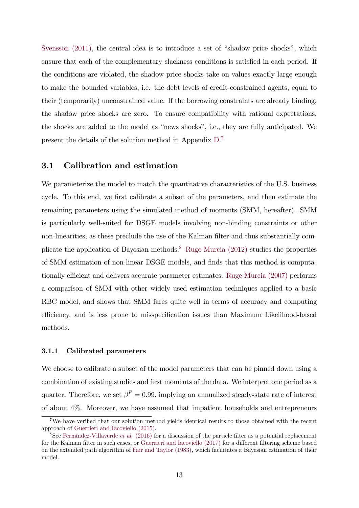Svensson  $(2011)$ , the central idea is to introduce a set of "shadow price shocks", which ensure that each of the complementary slackness conditions is satisfied in each period. If the conditions are violated, the shadow price shocks take on values exactly large enough to make the bounded variables, i.e. the debt levels of credit-constrained agents, equal to their (temporarily) unconstrained value. If the borrowing constraints are already binding, the shadow price shocks are zero. To ensure compatibility with rational expectations, the shocks are added to the model as "news shocks", i.e., they are fully anticipated. We present the details of the solution method in Appendix [D.](#page-17-0)<sup>[7](#page-13-0)</sup>

#### 3.1 Calibration and estimation

We parameterize the model to match the quantitative characteristics of the U.S. business cycle. To this end, we first calibrate a subset of the parameters, and then estimate the remaining parameters using the simulated method of moments (SMM, hereafter). SMM is particularly well-suited for DSGE models involving non-binding constraints or other non-linearities, as these preclude the use of the Kalman filter and thus substantially com-plicate the application of Bayesian methods.<sup>[8](#page-13-1)</sup> [Ruge-Murcia \(2012\)](#page-40-8) studies the properties of SMM estimation of non-linear DSGE models, and Önds that this method is computa-tionally efficient and delivers accurate parameter estimates. [Ruge-Murcia \(2007\)](#page-40-9) performs a comparison of SMM with other widely used estimation techniques applied to a basic RBC model, and shows that SMM fares quite well in terms of accuracy and computing efficiency, and is less prone to misspecification issues than Maximum Likelihood-based methods.

#### 3.1.1 Calibrated parameters

We choose to calibrate a subset of the model parameters that can be pinned down using a combination of existing studies and first moments of the data. We interpret one period as a quarter. Therefore, we set  $\beta^P = 0.99$ , implying an annualized steady-state rate of interest of about 4%. Moreover, we have assumed that impatient households and entrepreneurs

<span id="page-13-0"></span> $7$ We have verified that our solution method yields identical results to those obtained with the recent approach of [Guerrieri and Iacoviello \(2015\).](#page-38-6)

<span id="page-13-1"></span><sup>&</sup>lt;sup>8</sup>See Fernández-Villaverde *et al.* (2016) for a discussion of the particle filter as a potential replacement for the Kalman filter in such cases, or [Guerrieri and Iacoviello \(2017\)](#page-0-0) for a different filtering scheme based on the extended path algorithm of [Fair and Taylor \(1983\),](#page-37-6) which facilitates a Bayesian estimation of their model.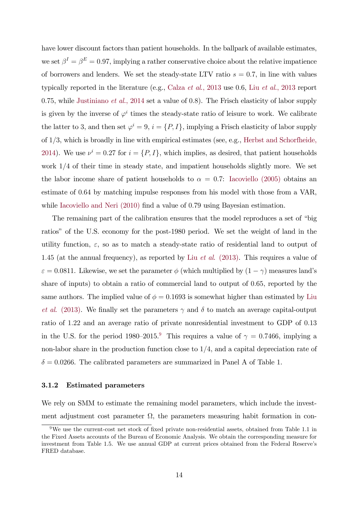have lower discount factors than patient households. In the ballpark of available estimates, we set  $\beta^I = \beta^E = 0.97$ , implying a rather conservative choice about the relative impatience of borrowers and lenders. We set the steady-state LTV ratio  $s = 0.7$ , in line with values typically reported in the literature (e.g., Calza *et al.*, 2013 use 0.6, Liu *et al.*, 2013 report 0.75, while [Justiniano](#page-39-4) *et al.*, 2014 set a value of 0.8). The Frisch elasticity of labor supply is given by the inverse of  $\varphi^i$  times the steady-state ratio of leisure to work. We calibrate the latter to 3, and then set  $\varphi^i = 9$ ,  $i = \{P, I\}$ , implying a Frisch elasticity of labor supply of  $1/3$ , which is broadly in line with empirical estimates (see, e.g., [Herbst and Schorfheide,](#page-38-7) [2014\)](#page-38-7). We use  $\nu^{i} = 0.27$  for  $i = \{P, I\}$ , which implies, as desired, that patient households work  $1/4$  of their time in steady state, and impatient households slightly more. We set the labor income share of patient households to  $\alpha = 0.7$ : [Iacoviello \(2005\)](#page-38-0) obtains an estimate of 0:64 by matching impulse responses from his model with those from a VAR, while [Iacoviello and Neri \(2010\)](#page-38-8) find a value of 0.79 using Bayesian estimation.

The remaining part of the calibration ensures that the model reproduces a set of "big ratios" of the U.S. economy for the post-1980 period. We set the weight of land in the utility function,  $\varepsilon$ , so as to match a steady-state ratio of residential land to output of 1.45 (at the annual frequency), as reported by Liu  $et$  al[. \(2013\).](#page-39-2) This requires a value of  $\varepsilon = 0.0811$ . Likewise, we set the parameter  $\phi$  (which multiplied by  $(1 - \gamma)$  measures land's share of inputs) to obtain a ratio of commercial land to output of 0:65, reported by the same authors. The implied value of  $\phi = 0.1693$  is somewhat higher than estimated by [Liu](#page-39-2) *et al.* (2013). We finally set the parameters  $\gamma$  and  $\delta$  to match an average capital-output ratio of 1:22 and an average ratio of private nonresidential investment to GDP of 0:13 in the U.S. for the period 1[9](#page-14-0)80–2015.<sup>9</sup> This requires a value of  $\gamma = 0.7466$ , implying a non-labor share in the production function close to  $1/4$ , and a capital depreciation rate of  $\delta = 0.0266$ . The calibrated parameters are summarized in Panel A of Table 1.

#### 3.1.2 Estimated parameters

We rely on SMM to estimate the remaining model parameters, which include the investment adjustment cost parameter  $\Omega$ , the parameters measuring habit formation in con-

<span id="page-14-0"></span> $9$ We use the current-cost net stock of fixed private non-residential assets, obtained from Table 1.1 in the Fixed Assets accounts of the Bureau of Economic Analysis. We obtain the corresponding measure for investment from Table 1.5. We use annual GDP at current prices obtained from the Federal Reserve's FRED database.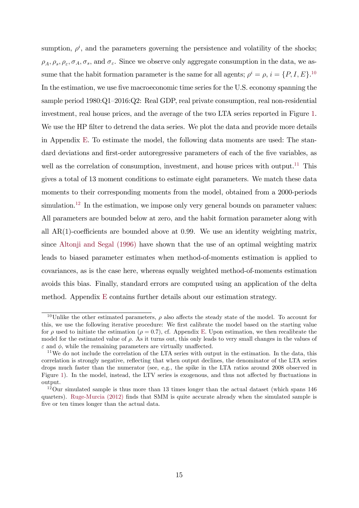sumption,  $\rho^i$ , and the parameters governing the persistence and volatility of the shocks;  $\rho_A, \rho_s, \rho_s, \sigma_A, \sigma_s$ , and  $\sigma_{\varepsilon}$ . Since we observe only aggregate consumption in the data, we assume that the habit formation parameter is the same for all agents;  $\rho^i = \rho$ ,  $i = \{P, I, E\}$ .<sup>[10](#page-15-0)</sup> In the estimation, we use five macroeconomic time series for the U.S. economy spanning the sample period  $1980:Q1-2016:Q2$ : Real GDP, real private consumption, real non-residential investment, real house prices, and the average of the two LTA series reported in Figure [1.](#page-2-0) We use the HP filter to detrend the data series. We plot the data and provide more details in Appendix [E.](#page-31-0) To estimate the model, the following data moments are used: The standard deviations and first-order autoregressive parameters of each of the five variables, as well as the correlation of consumption, investment, and house prices with output.<sup>[11](#page-15-1)</sup> This gives a total of 13 moment conditions to estimate eight parameters. We match these data moments to their corresponding moments from the model, obtained from a 2000-periods simulation.<sup>[12](#page-15-2)</sup> In the estimation, we impose only very general bounds on parameter values: All parameters are bounded below at zero, and the habit formation parameter along with all  $AR(1)$ -coefficients are bounded above at 0.99. We use an identity weighting matrix, since [Altonji and Segal \(1996\)](#page-35-5) have shown that the use of an optimal weighting matrix leads to biased parameter estimates when method-of-moments estimation is applied to covariances, as is the case here, whereas equally weighted method-of-moments estimation avoids this bias. Finally, standard errors are computed using an application of the delta method. Appendix [E](#page-31-0) contains further details about our estimation strategy.

<span id="page-15-0"></span><sup>&</sup>lt;sup>10</sup>Unlike the other estimated parameters,  $\rho$  also affects the steady state of the model. To account for this, we use the following iterative procedure: We first calibrate the model based on the starting value for  $\rho$  used to initiate the estimation ( $\rho = 0.7$ ), cf. Appendix [E.](#page-31-0) Upon estimation, we then recalibrate the model for the estimated value of  $\rho$ . As it turns out, this only leads to very small changes in the values of  $\varepsilon$  and  $\phi$ , while the remaining parameters are virtually unaffected.

<span id="page-15-1"></span><sup>&</sup>lt;sup>11</sup>We do not include the correlation of the LTA series with output in the estimation. In the data, this correlation is strongly negative, reflecting that when output declines, the denominator of the LTA series drops much faster than the numerator (see, e.g., the spike in the LTA ratios around 2008 observed in Figure [1\)](#page-2-0). In the model, instead, the LTV series is exogenous, and thus not affected by fluctuations in output.

<span id="page-15-2"></span><sup>&</sup>lt;sup>12</sup>Our simulated sample is thus more than 13 times longer than the actual dataset (which spans  $146$ ) quarters). [Ruge-Murcia \(2012\)](#page-40-8) finds that SMM is quite accurate already when the simulated sample is five or ten times longer than the actual data.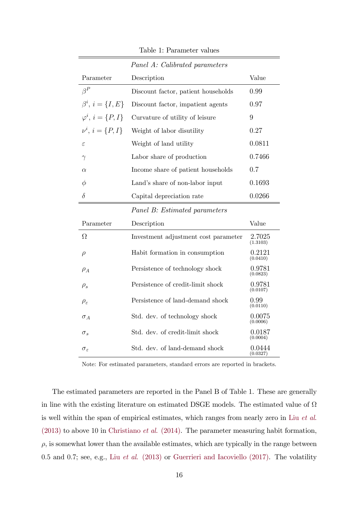Table 1: Parameter values

|                           | Panel A: Calibrated parameters       |                    |
|---------------------------|--------------------------------------|--------------------|
| Parameter                 | Description                          | Value              |
| $\beta^P$                 | Discount factor, patient households  | 0.99               |
| $\beta^i, i = \{I, E\}$   | Discount factor, impatient agents    | 0.97               |
| $\varphi^i, i = \{P, I\}$ | Curvature of utility of leisure      | 9                  |
| $\nu^i, i = \{P, I\}$     | Weight of labor disutility           | 0.27               |
| $\varepsilon$             | Weight of land utility               | 0.0811             |
| $\gamma$                  | Labor share of production            | 0.7466             |
| $\alpha$                  | Income share of patient households   | 0.7                |
| $\phi$                    | Land's share of non-labor input      | 0.1693             |
| $\delta$                  | Capital depreciation rate            | 0.0266             |
|                           | Panel B: Estimated parameters        |                    |
| Parameter                 | Description                          | Value              |
| $\Omega$                  | Investment adjustment cost parameter | 2.7025<br>(1.3103) |
| $\rho$                    | Habit formation in consumption       | 0.2121<br>(0.0410) |
| $\rho_A$                  | Persistence of technology shock      | 0.9781<br>(0.0823) |
| $\rho_s$                  | Persistence of credit-limit shock    | 0.9781<br>(0.0107) |
| $\rho_{\varepsilon}$      | Persistence of land-demand shock     | 0.99<br>(0.0110)   |
| $\sigma_A$                | Std. dev. of technology shock        | 0.0075<br>(0.0006) |
| $\sigma_s$                | Std. dev. of credit-limit shock      | 0.0187<br>(0.0004) |
| $\sigma_{\varepsilon}$    | Std. dev. of land-demand shock       | 0.0444<br>(0.0327) |

Note: For estimated parameters, standard errors are reported in brackets.

The estimated parameters are reported in the Panel B of Table 1. These are generally in line with the existing literature on estimated DSGE models. The estimated value of  $\Omega$ is well within the span of empirical estimates, which ranges from nearly zero in Liu [et al](#page-39-2).  $(2013)$  to above 10 in [Christiano](#page-36-3) *et al.*  $(2014)$ . The parameter measuring habit formation,  $\rho$ , is somewhat lower than the available estimates, which are typically in the range between 0:5 and 0:7; see, e.g., Liu et al[. \(2013\)](#page-39-2) or [Guerrieri and Iacoviello \(2017\).](#page-0-0) The volatility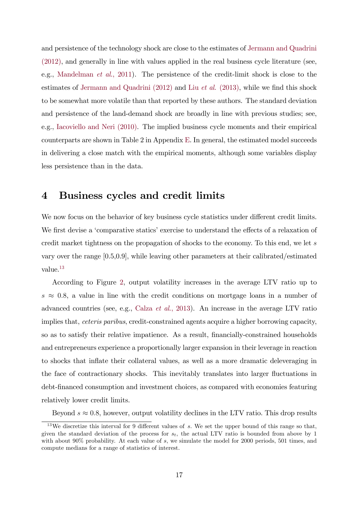and persistence of the technology shock are close to the estimates of [Jermann and Quadrini](#page-39-7) [\(2012\),](#page-39-7) and generally in line with values applied in the real business cycle literature (see, e.g., [Mandelman](#page-40-10) et al., 2011). The persistence of the credit-limit shock is close to the estimates of Jermann and Quadrini  $(2012)$  and Liu *et al.*  $(2013)$ , while we find this shock to be somewhat more volatile than that reported by these authors. The standard deviation and persistence of the land-demand shock are broadly in line with previous studies; see, e.g., [Iacoviello and Neri \(2010\).](#page-38-8) The implied business cycle moments and their empirical counterparts are shown in Table 2 in Appendix [E.](#page-31-0) In general, the estimated model succeeds in delivering a close match with the empirical moments, although some variables display less persistence than in the data.

## <span id="page-17-0"></span>4 Business cycles and credit limits

We now focus on the behavior of key business cycle statistics under different credit limits. We first devise a 'comparative statics' exercise to understand the effects of a relaxation of credit market tightness on the propagation of shocks to the economy. To this end, we let s vary over the range [0.5,0.9], while leaving other parameters at their calibrated/estimated value.[13](#page-17-1)

According to Figure [2,](#page-18-0) output volatility increases in the average LTV ratio up to  $s \approx 0.8$ , a value in line with the credit conditions on mortgage loans in a number of advanced countries (see, e.g., Calza *et al.*, 2013). An increase in the average LTV ratio implies that, ceteris paribus, credit-constrained agents acquire a higher borrowing capacity, so as to satisfy their relative impatience. As a result, financially-constrained households and entrepreneurs experience a proportionally larger expansion in their leverage in reaction to shocks that inflate their collateral values, as well as a more dramatic deleveraging in the face of contractionary shocks. This inevitably translates into larger fluctuations in debt-financed consumption and investment choices, as compared with economies featuring relatively lower credit limits.

<span id="page-17-1"></span>Beyond  $s \approx 0.8$ , however, output volatility declines in the LTV ratio. This drop results

<sup>&</sup>lt;sup>13</sup>We discretize this interval for 9 different values of s. We set the upper bound of this range so that, given the standard deviation of the process for  $s_t$ , the actual LTV ratio is bounded from above by 1 with about 90% probability. At each value of s, we simulate the model for 2000 periods, 501 times, and compute medians for a range of statistics of interest.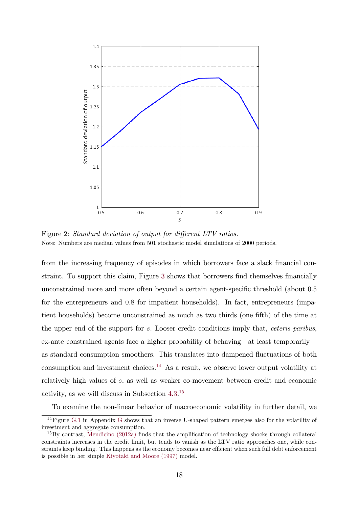

<span id="page-18-0"></span>Figure 2: Standard deviation of output for different LTV ratios. Note: Numbers are median values from 501 stochastic model simulations of 2000 periods.

from the increasing frequency of episodes in which borrowers face a slack financial con-straint. To support this claim, Figure [3](#page-19-0) shows that borrowers find themselves financially unconstrained more and more often beyond a certain agent-specific threshold (about 0.5) for the entrepreneurs and 0:8 for impatient households). In fact, entrepreneurs (impatient households) become unconstrained as much as two thirds (one Öfth) of the time at the upper end of the support for s. Looser credit conditions imply that, ceteris paribus, ex-ante constrained agents face a higher probability of behaving—at least temporarily as standard consumption smoothers. This translates into dampened fluctuations of both consumption and investment choices.<sup>[14](#page-18-1)</sup> As a result, we observe lower output volatility at relatively high values of s, as well as weaker co-movement between credit and economic activity, as we will discuss in Subsection [4.3.](#page-29-0) [15](#page-18-2)

<span id="page-18-1"></span>To examine the non-linear behavior of macroeconomic volatility in further detail, we

<sup>&</sup>lt;sup>14</sup>Figure [G.1](#page-61-0) in Appendix [G](#page-61-1) shows that an inverse U-shaped pattern emerges also for the volatility of investment and aggregate consumption.

<span id="page-18-2"></span> $^{15}$ By contrast, [Mendicino \(2012a\)](#page-40-2) finds that the amplification of technology shocks through collateral constraints increases in the credit limit, but tends to vanish as the LTV ratio approaches one, while constraints keep binding. This happens as the economy becomes near efficient when such full debt enforcement is possible in her simple [Kiyotaki and Moore \(1997\)](#page-39-0) model.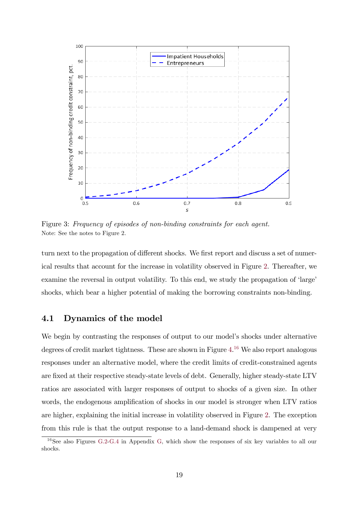

<span id="page-19-0"></span>Figure 3: Frequency of episodes of non-binding constraints for each agent. Note: See the notes to Figure 2.

turn next to the propagation of different shocks. We first report and discuss a set of numerical results that account for the increase in volatility observed in Figure [2.](#page-18-0) Thereafter, we examine the reversal in output volatility. To this end, we study the propagation of 'large' shocks, which bear a higher potential of making the borrowing constraints non-binding.

### 4.1 Dynamics of the model

We begin by contrasting the responses of output to our model's shocks under alternative degrees of credit market tightness. These are shown in Figure [4.](#page-20-0)<sup>[16](#page-19-1)</sup> We also report analogous responses under an alternative model, where the credit limits of credit-constrained agents are fixed at their respective steady-state levels of debt. Generally, higher steady-state LTV ratios are associated with larger responses of output to shocks of a given size. In other words, the endogenous amplification of shocks in our model is stronger when LTV ratios are higher, explaining the initial increase in volatility observed in Figure [2.](#page-18-0) The exception from this rule is that the output response to a land-demand shock is dampened at very

<span id="page-19-1"></span><sup>16</sup>See also Figures [G.2-](#page-62-0)[G.4](#page-63-0) in Appendix [G,](#page-61-1) which show the responses of six key variables to all our shocks.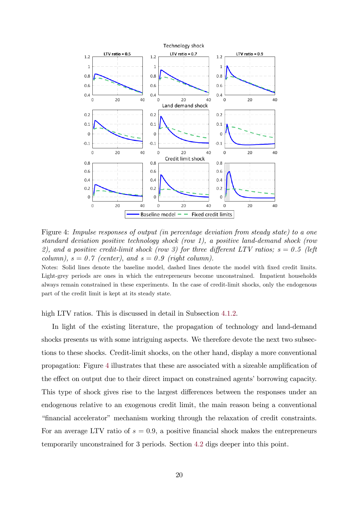

<span id="page-20-0"></span>Figure 4: Impulse responses of output (in percentage deviation from steady state) to a one standard deviation positive technology shock (row 1), a positive land-demand shock (row 2), and a positive credit-limit shock (row 3) for three different LTV ratios;  $s = 0.5$  (left column),  $s = 0.7$  (center), and  $s = 0.9$  (right column).

Notes: Solid lines denote the baseline model, dashed lines denote the model with fixed credit limits. Light-grey periods are ones in which the entrepreneurs become unconstrained. Impatient households always remain constrained in these experiments. In the case of credit-limit shocks, only the endogenous part of the credit limit is kept at its steady state.

high LTV ratios. This is discussed in detail in Subsection [4.1.2.](#page-23-0)

In light of the existing literature, the propagation of technology and land-demand shocks presents us with some intriguing aspects. We therefore devote the next two subsections to these shocks. Credit-limit shocks, on the other hand, display a more conventional propagation: Figure [4](#page-20-0) illustrates that these are associated with a sizeable amplification of the effect on output due to their direct impact on constrained agents' borrowing capacity. This type of shock gives rise to the largest differences between the responses under an endogenous relative to an exogenous credit limit, the main reason being a conventional ìÖnancial acceleratorî mechanism working through the relaxation of credit constraints. For an average LTV ratio of  $s = 0.9$ , a positive financial shock makes the entrepreneurs temporarily unconstrained for 3 periods. Section [4.2](#page-27-0) digs deeper into this point.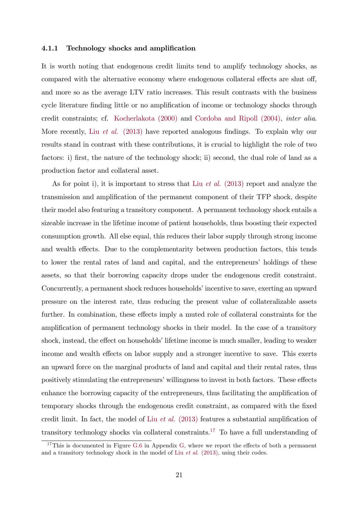#### 4.1.1 Technology shocks and amplification

It is worth noting that endogenous credit limits tend to amplify technology shocks, as compared with the alternative economy where endogenous collateral effects are shut off, and more so as the average LTV ratio increases. This result contrasts with the business cycle literature finding little or no amplification of income or technology shocks through credit constraints; cf. [Kocherlakota \(2000\)](#page-39-8) and [Cordoba and Ripoll \(2004\),](#page-36-0) inter alia. More recently, Liu *et al.* (2013) have reported analogous findings. To explain why our results stand in contrast with these contributions, it is crucial to highlight the role of two factors: i) first, the nature of the technology shock; ii) second, the dual role of land as a production factor and collateral asset.

As for point i), it is important to stress that Liu *et al.* (2013) report and analyze the transmission and amplification of the permanent component of their TFP shock, despite their model also featuring a transitory component. A permanent technology shock entails a sizeable increase in the lifetime income of patient households, thus boosting their expected consumption growth. All else equal, this reduces their labor supply through strong income and wealth effects. Due to the complementarity between production factors, this tends to lower the rental rates of land and capital, and the entrepreneurs' holdings of these assets, so that their borrowing capacity drops under the endogenous credit constraint. Concurrently, a permanent shock reduces households' incentive to save, exerting an upward pressure on the interest rate, thus reducing the present value of collateralizable assets further. In combination, these effects imply a muted role of collateral constraints for the amplification of permanent technology shocks in their model. In the case of a transitory shock, instead, the effect on households' lifetime income is much smaller, leading to weaker income and wealth effects on labor supply and a stronger incentive to save. This exerts an upward force on the marginal products of land and capital and their rental rates, thus positively stimulating the entrepreneurs' willingness to invest in both factors. These effects enhance the borrowing capacity of the entrepreneurs, thus facilitating the amplification of temporary shocks through the endogenous credit constraint, as compared with the Öxed credit limit. In fact, the model of Liu *et al.*  $(2013)$  features a substantial amplification of transitory technology shocks via collateral constraints.<sup>[17](#page-21-0)</sup> To have a full understanding of

<span id="page-21-0"></span><sup>&</sup>lt;sup>17</sup>This is documented in Figure [G.6](#page-64-0) in Appendix [G,](#page-61-1) where we report the effects of both a permanent and a transitory technology shock in the model of Liu  $et \ al.$  (2013), using their codes.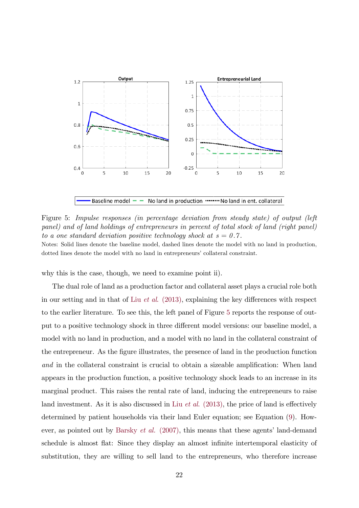

<span id="page-22-0"></span>Figure 5: Impulse responses (in percentage deviation from steady state) of output (left panel) and of land holdings of entrepreneurs in percent of total stock of land (right panel) to a one standard deviation positive technology shock at  $s = 0.7$ . Notes: Solid lines denote the baseline model, dashed lines denote the model with no land in production, dotted lines denote the model with no land in entrepreneurs' collateral constraint.

why this is the case, though, we need to examine point ii).

The dual role of land as a production factor and collateral asset plays a crucial role both in our setting and in that of Liu  $et$  al[. \(2013\),](#page-39-2) explaining the key differences with respect to the earlier literature. To see this, the left panel of Figure [5](#page-22-0) reports the response of output to a positive technology shock in three different model versions: our baseline model, a model with no land in production, and a model with no land in the collateral constraint of the entrepreneur. As the Ögure illustrates, the presence of land in the production function and in the collateral constraint is crucial to obtain a sizeable amplification: When land appears in the production function, a positive technology shock leads to an increase in its marginal product. This raises the rental rate of land, inducing the entrepreneurs to raise land investment. As it is also discussed in Liu *et al.*  $(2013)$ , the price of land is effectively determined by patient households via their land Euler equation; see Equation [\(9\)](#page-9-1). How-ever, as pointed out by [Barsky](#page-35-6) *et al.*  $(2007)$ , this means that these agents' land-demand schedule is almost flat: Since they display an almost infinite intertemporal elasticity of substitution, they are willing to sell land to the entrepreneurs, who therefore increase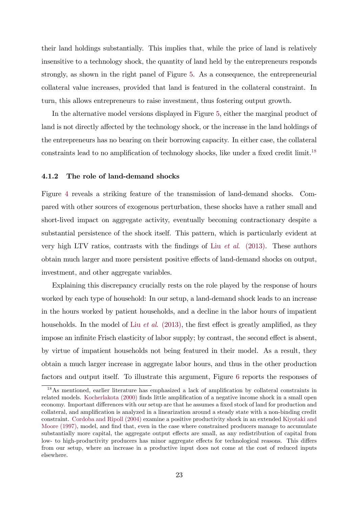their land holdings substantially. This implies that, while the price of land is relatively insensitive to a technology shock, the quantity of land held by the entrepreneurs responds strongly, as shown in the right panel of Figure [5.](#page-22-0) As a consequence, the entrepreneurial collateral value increases, provided that land is featured in the collateral constraint. In turn, this allows entrepreneurs to raise investment, thus fostering output growth.

In the alternative model versions displayed in Figure [5,](#page-22-0) either the marginal product of land is not directly affected by the technology shock, or the increase in the land holdings of the entrepreneurs has no bearing on their borrowing capacity. In either case, the collateral constraints lead to no amplification of technology shocks, like under a fixed credit limit.<sup>[18](#page-23-1)</sup>

#### <span id="page-23-0"></span>4.1.2 The role of land-demand shocks

Figure [4](#page-20-0) reveals a striking feature of the transmission of land-demand shocks. Compared with other sources of exogenous perturbation, these shocks have a rather small and short-lived impact on aggregate activity, eventually becoming contractionary despite a substantial persistence of the shock itself. This pattern, which is particularly evident at very high LTV ratios, contrasts with the findings of Liu  $et$  al[. \(2013\).](#page-39-2) These authors obtain much larger and more persistent positive effects of land-demand shocks on output, investment, and other aggregate variables.

Explaining this discrepancy crucially rests on the role played by the response of hours worked by each type of household: In our setup, a land-demand shock leads to an increase in the hours worked by patient households, and a decline in the labor hours of impatient households. In the model of Liu *et al.*  $(2013)$ , the first effect is greatly amplified, as they impose an infinite Frisch elasticity of labor supply; by contrast, the second effect is absent, by virtue of impatient households not being featured in their model. As a result, they obtain a much larger increase in aggregate labor hours, and thus in the other production factors and output itself. To illustrate this argument, Figure [6](#page-25-0) reports the responses of

<span id="page-23-1"></span> $18$ As mentioned, earlier literature has emphasized a lack of amplification by collateral constraints in related models. [Kocherlakota \(2000\)](#page-39-8) finds little amplification of a negative income shock in a small open economy. Important differences with our setup are that he assumes a fixed stock of land for production and collateral, and ampliÖcation is analyzed in a linearization around a steady state with a non-binding credit constraint. [Cordoba and Ripoll \(2004\)](#page-36-0) examine a positive productivity shock in an extended [Kiyotaki and](#page-39-0) [Moore \(1997\),](#page-39-0) model, and find that, even in the case where constrained producers manage to accumulate substantially more capital, the aggregate output effects are small, as any redistribution of capital from low- to high-productivity producers has minor aggregate effects for technological reasons. This differs from our setup, where an increase in a productive input does not come at the cost of reduced inputs elsewhere.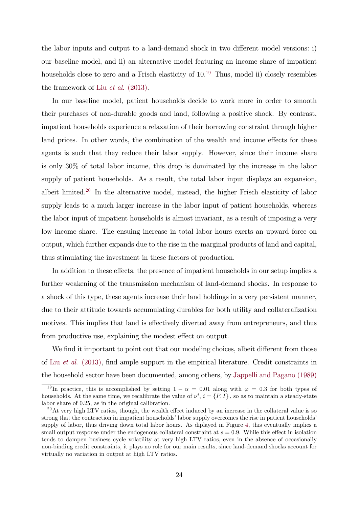the labor inputs and output to a land-demand shock in two different model versions: i) our baseline model, and ii) an alternative model featuring an income share of impatient households close to zero and a Frisch elasticity of  $10^{19}$  $10^{19}$  $10^{19}$  Thus, model ii) closely resembles the framework of Liu et al[. \(2013\).](#page-39-2)

In our baseline model, patient households decide to work more in order to smooth their purchases of non-durable goods and land, following a positive shock. By contrast, impatient households experience a relaxation of their borrowing constraint through higher land prices. In other words, the combination of the wealth and income effects for these agents is such that they reduce their labor supply. However, since their income share is only 30% of total labor income, this drop is dominated by the increase in the labor supply of patient households. As a result, the total labor input displays an expansion, albeit limited.<sup>[20](#page-24-1)</sup> In the alternative model, instead, the higher Frisch elasticity of labor supply leads to a much larger increase in the labor input of patient households, whereas the labor input of impatient households is almost invariant, as a result of imposing a very low income share. The ensuing increase in total labor hours exerts an upward force on output, which further expands due to the rise in the marginal products of land and capital, thus stimulating the investment in these factors of production.

In addition to these effects, the presence of impatient households in our setup implies a further weakening of the transmission mechanism of land-demand shocks. In response to a shock of this type, these agents increase their land holdings in a very persistent manner, due to their attitude towards accumulating durables for both utility and collateralization motives. This implies that land is effectively diverted away from entrepreneurs, and thus from productive use, explaining the modest effect on output.

We find it important to point out that our modeling choices, albeit different from those of Liu *et al.*  $(2013)$ , find ample support in the empirical literature. Credit constraints in the household sector have been documented, among others, by [Jappelli and Pagano \(1989\)](#page-38-9)

<span id="page-24-0"></span><sup>&</sup>lt;sup>19</sup>In practice, this is accomplished by setting  $1 - \alpha = 0.01$  along with  $\varphi = 0.3$  for both types of households. At the same time, we recalibrate the value of  $\nu^i$ ,  $i = \{P, I\}$ , so as to maintain a steady-state labor share of 0.25, as in the original calibration.

<span id="page-24-1"></span> $^{20}$  At very high LTV ratios, though, the wealth effect induced by an increase in the collateral value is so strong that the contraction in impatient households' labor supply overcomes the rise in patient households' supply of labor, thus driving down total labor hours. As diplayed in Figure [4,](#page-20-0) this eventually implies a small output response under the endogenous collateral constraint at  $s = 0.9$ . While this effect in isolation tends to dampen business cycle volatility at very high LTV ratios, even in the absence of occasionally non-binding credit constraints, it plays no role for our main results, since land-demand shocks account for virtually no variation in output at high LTV ratios.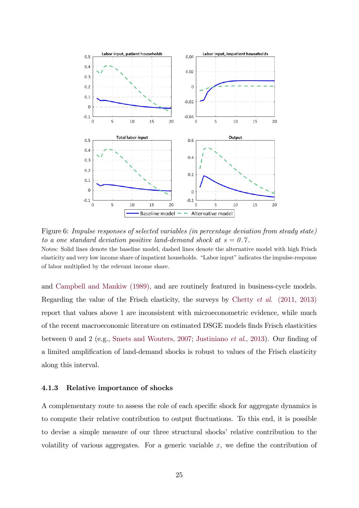

<span id="page-25-0"></span>Figure 6: Impulse responses of selected variables (in percentage deviation from steady state) to a one standard deviation positive land-demand shock at  $s = 0.7$ . Notes: Solid lines denote the baseline model, dashed lines denote the alternative model with high Frisch elasticity and very low income share of impatient households. "Labor input" indicates the impulse-response of labor multiplied by the relevant income share.

and [Campbell and Mankiw \(1989\),](#page-36-4) and are routinely featured in business-cycle models. Regarding the value of the Frisch elasticity, the surveys by Chetty et al[. \(2011,](#page-36-5) [2013\)](#page-36-6) report that values above 1 are inconsistent with microeconometric evidence, while much of the recent macroeconomic literature on estimated DSGE models Önds Frisch elasticities between 0 and 2 (e.g., [Smets and Wouters, 2007;](#page-40-11) [Justiniano](#page-39-9) *et al.*, 2013). Our finding of a limited amplification of land-demand shocks is robust to values of the Frisch elasticity along this interval.

#### 4.1.3 Relative importance of shocks

A complementary route to assess the role of each specific shock for aggregate dynamics is to compute their relative contribution to output áuctuations. To this end, it is possible to devise a simple measure of our three structural shocks' relative contribution to the volatility of various aggregates. For a generic variable  $x$ , we define the contribution of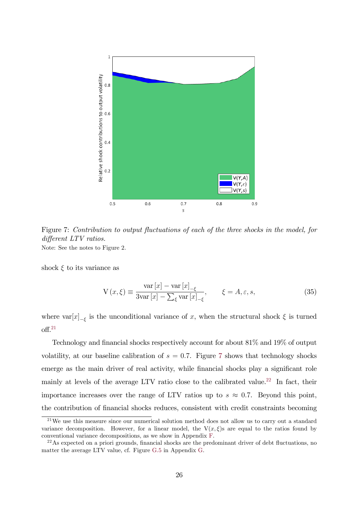

<span id="page-26-1"></span>Figure 7: Contribution to output fluctuations of each of the three shocks in the model, for different  $LTV$  ratios. Note: See the notes to Figure 2.

shock  $\xi$  to its variance as

$$
V(x,\xi) \equiv \frac{\text{var}[x] - \text{var}[x]_{-\xi}}{3\text{var}[x] - \sum_{\xi} \text{var}[x]_{-\xi}}, \qquad \xi = A, \varepsilon, s,
$$
\n(35)

where  $var[x]_{-\xi}$  is the unconditional variance of x, when the structural shock  $\xi$  is turned  $\mathrm{off.}^{21}$  $\mathrm{off.}^{21}$  $\mathrm{off.}^{21}$ 

Technology and financial shocks respectively account for about  $81\%$  and  $19\%$  of output volatility, at our baseline calibration of  $s = 0.7$  $s = 0.7$ . Figure 7 shows that technology shocks emerge as the main driver of real activity, while financial shocks play a significant role mainly at levels of the average LTV ratio close to the calibrated value.<sup>[22](#page-26-2)</sup> In fact, their importance increases over the range of LTV ratios up to  $s \approx 0.7$ . Beyond this point, the contribution of financial shocks reduces, consistent with credit constraints becoming

<span id="page-26-0"></span> $21$ We use this measure since our numerical solution method does not allow us to carry out a standard variance decomposition. However, for a linear model, the  $V(x, \xi)$ s are equal to the ratios found by conventional variance decompositions, as we show in Appendix [F.](#page-34-0)

<span id="page-26-2"></span> $^{22}$ As expected on a priori grounds, financial shocks are the predominant driver of debt fluctuations, no matter the average LTV value, cf. Figure [G.5](#page-63-1) in Appendix [G.](#page-61-1)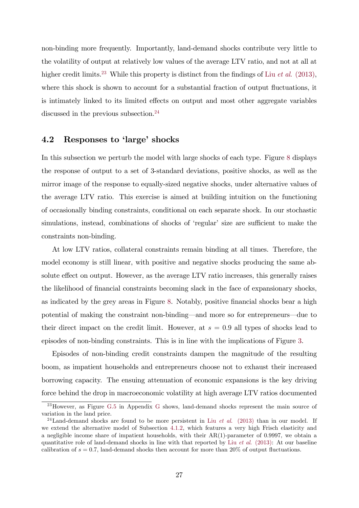non-binding more frequently. Importantly, land-demand shocks contribute very little to the volatility of output at relatively low values of the average LTV ratio, and not at all at higher credit limits.<sup>[23](#page-27-1)</sup> While this property is distinct from the findings of Liu *et al.* (2013), where this shock is shown to account for a substantial fraction of output fluctuations, it is intimately linked to its limited effects on output and most other aggregate variables discussed in the previous subsection.<sup>[24](#page-27-2)</sup>

#### <span id="page-27-0"></span>4.2 Responses to 'large' shocks

In this subsection we perturb the model with large shocks of each type. Figure [8](#page-28-0) displays the response of output to a set of 3-standard deviations, positive shocks, as well as the mirror image of the response to equally-sized negative shocks, under alternative values of the average LTV ratio. This exercise is aimed at building intuition on the functioning of occasionally binding constraints, conditional on each separate shock. In our stochastic simulations, instead, combinations of shocks of 'regular' size are sufficient to make the constraints non-binding.

At low LTV ratios, collateral constraints remain binding at all times. Therefore, the model economy is still linear, with positive and negative shocks producing the same absolute effect on output. However, as the average LTV ratio increases, this generally raises the likelihood of financial constraints becoming slack in the face of expansionary shocks, as indicated by the grey areas in Figure [8.](#page-28-0) Notably, positive financial shocks bear a high potential of making the constraint non-binding—and more so for entrepreneurs—due to their direct impact on the credit limit. However, at  $s = 0.9$  all types of shocks lead to episodes of non-binding constraints. This is in line with the implications of Figure [3.](#page-19-0)

Episodes of non-binding credit constraints dampen the magnitude of the resulting boom, as impatient households and entrepreneurs choose not to exhaust their increased borrowing capacity. The ensuing attenuation of economic expansions is the key driving force behind the drop in macroeconomic volatility at high average LTV ratios documented

<span id="page-27-1"></span> $^{23}$ However, as Figure [G.5](#page-63-1) in Appendix [G](#page-61-1) shows, land-demand shocks represent the main source of variation in the land price.

<span id="page-27-2"></span><sup>&</sup>lt;sup>24</sup>Land-demand shocks are found to be more persistent in Liu *et al.* (2013) than in our model. If we extend the alternative model of Subsection [4.1.2,](#page-23-0) which features a very high Frisch elasticity and a negligible income share of impatient households, with their  $AR(1)$ -parameter of 0.9997, we obtain a quantitative role of land-demand shocks in line with that reported by Liu *et al.* (2013): At our baseline calibration of  $s = 0.7$ , land-demand shocks then account for more than 20% of output fluctuations.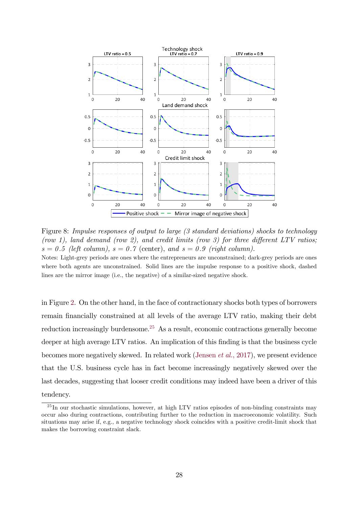

<span id="page-28-0"></span>Figure 8: Impulse responses of output to large (3 standard deviations) shocks to technology (row 1), land demand (row 2), and credit limits (row 3) for three different LTV ratios;  $s = 0.5$  (left column),  $s = 0.7$  (center), and  $s = 0.9$  (right column).

Notes: Light-grey periods are ones where the entrepreneurs are unconstrained; dark-grey periods are ones where both agents are unconstrained. Solid lines are the impulse response to a positive shock, dashed lines are the mirror image (i.e., the negative) of a similar-sized negative shock.

in Figure [2.](#page-18-0) On the other hand, in the face of contractionary shocks both types of borrowers remain financially constrained at all levels of the average LTV ratio, making their debt reduction increasingly burdensome.[25](#page-28-1) As a result, economic contractions generally become deeper at high average LTV ratios. An implication of this finding is that the business cycle becomes more negatively skewed. In related work [\(Jensen](#page-38-4) et al., 2017), we present evidence that the U.S. business cycle has in fact become increasingly negatively skewed over the last decades, suggesting that looser credit conditions may indeed have been a driver of this tendency.

<span id="page-28-1"></span> $^{25}$ In our stochastic simulations, however, at high LTV ratios episodes of non-binding constraints may occur also during contractions, contributing further to the reduction in macroeconomic volatility. Such situations may arise if, e.g., a negative technology shock coincides with a positive credit-limit shock that makes the borrowing constraint slack.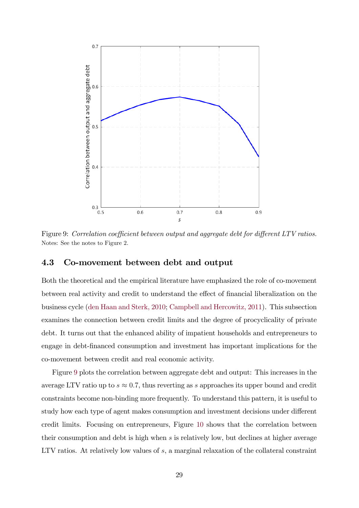

<span id="page-29-1"></span>Figure 9: Correlation coefficient between output and aggregate debt for different LTV ratios. Notes: See the notes to Figure 2.

### <span id="page-29-0"></span>4.3 Co-movement between debt and output

Both the theoretical and the empirical literature have emphasized the role of co-movement between real activity and credit to understand the effect of financial liberalization on the business cycle [\(den Haan and Sterk, 2010;](#page-37-4) [Campbell and Hercowitz, 2011\)](#page-36-7). This subsection examines the connection between credit limits and the degree of procyclicality of private debt. It turns out that the enhanced ability of impatient households and entrepreneurs to engage in debt-Önanced consumption and investment has important implications for the co-movement between credit and real economic activity.

Figure [9](#page-29-1) plots the correlation between aggregate debt and output: This increases in the average LTV ratio up to  $s \approx 0.7$ , thus reverting as s approaches its upper bound and credit constraints become non-binding more frequently. To understand this pattern, it is useful to study how each type of agent makes consumption and investment decisions under different credit limits. Focusing on entrepreneurs, Figure [10](#page-30-0) shows that the correlation between their consumption and debt is high when s is relatively low, but declines at higher average LTV ratios. At relatively low values of s, a marginal relaxation of the collateral constraint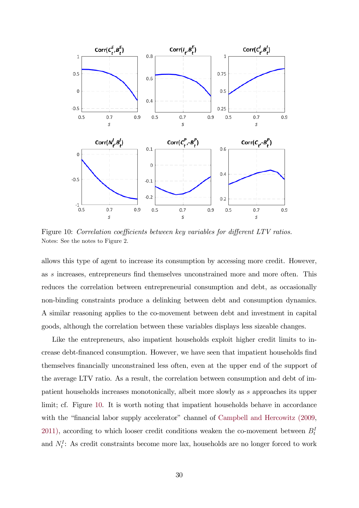

<span id="page-30-0"></span>Figure 10: Correlation coefficients between key variables for different LTV ratios. Notes: See the notes to Figure 2.

allows this type of agent to increase its consumption by accessing more credit. However, as s increases, entrepreneurs find themselves unconstrained more and more often. This reduces the correlation between entrepreneurial consumption and debt, as occasionally non-binding constraints produce a delinking between debt and consumption dynamics. A similar reasoning applies to the co-movement between debt and investment in capital goods, although the correlation between these variables displays less sizeable changes.

Like the entrepreneurs, also impatient households exploit higher credit limits to increase debt-financed consumption. However, we have seen that impatient households find themselves Önancially unconstrained less often, even at the upper end of the support of the average LTV ratio. As a result, the correlation between consumption and debt of impatient households increases monotonically, albeit more slowly as s approaches its upper limit; cf. Figure [10.](#page-30-0) It is worth noting that impatient households behave in accordance with the "financial labor supply accelerator" channel of Campbell and Hercowitz  $(2009,$ [2011\),](#page-36-7) according to which looser credit conditions weaken the co-movement between  $B_t^1$ and  $N_t^I$ : As credit constraints become more lax, households are no longer forced to work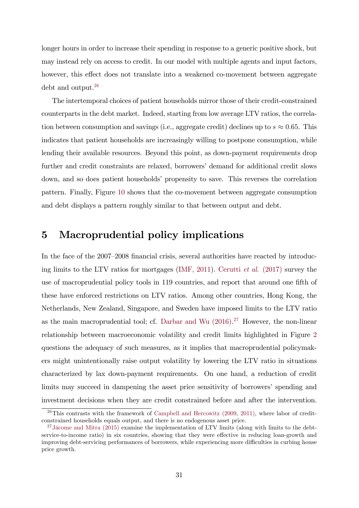longer hours in order to increase their spending in response to a generic positive shock, but may instead rely on access to credit. In our model with multiple agents and input factors, however, this effect does not translate into a weakened co-movement between aggregate debt and output.[26](#page-31-1)

The intertemporal choices of patient households mirror those of their credit-constrained counterparts in the debt market. Indeed, starting from low average LTV ratios, the correlation between consumption and savings (i.e., aggregate credit) declines up to  $s \approx 0.65$ . This indicates that patient households are increasingly willing to postpone consumption, while lending their available resources. Beyond this point, as down-payment requirements drop further and credit constraints are relaxed, borrowers' demand for additional credit slows down, and so does patient households' propensity to save. This reverses the correlation pattern. Finally, Figure [10](#page-30-0) shows that the co-movement between aggregate consumption and debt displays a pattern roughly similar to that between output and debt.

## <span id="page-31-0"></span>5 Macroprudential policy implications

In the face of the 2007–2008 financial crisis, several authorities have reacted by introduc-ing limits to the LTV ratios for mortgages [\(IMF, 2011\)](#page-38-2). Cerutti *et al.* (2017) survey the use of macroprudential policy tools in 119 countries, and report that around one fifth of these have enforced restrictions on LTV ratios. Among other countries, Hong Kong, the Netherlands, New Zealand, Singapore, and Sweden have imposed limits to the LTV ratio as the main macroprudential tool; cf. [Darbar and Wu \(2016\).](#page-36-9) [27](#page-31-2) However, the non-linear relationship between macroeconomic volatility and credit limits highlighted in Figure [2](#page-18-0) questions the adequacy of such measures, as it implies that macroprudential policymakers might unintentionally raise output volatility by lowering the LTV ratio in situations characterized by lax down-payment requirements. On one hand, a reduction of credit limits may succeed in dampening the asset price sensitivity of borrowers' spending and investment decisions when they are credit constrained before and after the intervention.

<span id="page-31-1"></span> $26$ This contrasts with the framework of [Campbell and Hercowitz \(2009,](#page-35-7) [2011\),](#page-36-7) where labor of creditconstrained households equals output, and there is no endogenous asset price.

<span id="page-31-2"></span><sup>&</sup>lt;sup>27</sup> Jácome and Mitra (2015) examine the implementation of LTV limits (along with limits to the debtservice-to-income ratio) in six countries, showing that they were effective in reducing loan-growth and improving debt-servicing performances of borrowers, while experiencing more difficulties in curbing house price growth.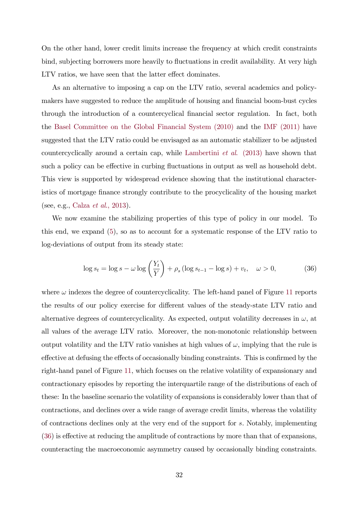On the other hand, lower credit limits increase the frequency at which credit constraints bind, subjecting borrowers more heavily to fluctuations in credit availability. At very high LTV ratios, we have seen that the latter effect dominates.

As an alternative to imposing a cap on the LTV ratio, several academics and policymakers have suggested to reduce the amplitude of housing and financial boom-bust cycles through the introduction of a countercyclical financial sector regulation. In fact, both the [Basel Committee on the Global Financial System \(2010\)](#page-35-8) and the [IMF \(2011\)](#page-38-2) have suggested that the LTV ratio could be envisaged as an automatic stabilizer to be adjusted countercyclically around a certain cap, while [Lambertini](#page-39-10) et al. (2013) have shown that such a policy can be effective in curbing fluctuations in output as well as household debt. This view is supported by widespread evidence showing that the institutional characteristics of mortgage Önance strongly contribute to the procyclicality of the housing market (see, e.g., Calza et al[., 2013\)](#page-35-4).

We now examine the stabilizing properties of this type of policy in our model. To this end, we expand [\(5\)](#page-8-2), so as to account for a systematic response of the LTV ratio to log-deviations of output from its steady state:

<span id="page-32-0"></span>
$$
\log s_t = \log s - \omega \log \left(\frac{Y_t}{Y}\right) + \rho_s \left(\log s_{t-1} - \log s\right) + v_t, \quad \omega > 0,
$$
\n(36)

where  $\omega$  indexes the degree of countercyclicality. The left-hand panel of Figure [11](#page-33-0) reports the results of our policy exercise for different values of the steady-state LTV ratio and alternative degrees of countercyclicality. As expected, output volatility decreases in  $\omega$ , at all values of the average LTV ratio. Moreover, the non-monotonic relationship between output volatility and the LTV ratio vanishes at high values of  $\omega$ , implying that the rule is effective at defusing the effects of occasionally binding constraints. This is confirmed by the right-hand panel of Figure [11,](#page-33-0) which focuses on the relative volatility of expansionary and contractionary episodes by reporting the interquartile range of the distributions of each of these: In the baseline scenario the volatility of expansions is considerably lower than that of contractions, and declines over a wide range of average credit limits, whereas the volatility of contractions declines only at the very end of the support for  $s$ . Notably, implementing  $(36)$  is effective at reducing the amplitude of contractions by more than that of expansions, counteracting the macroeconomic asymmetry caused by occasionally binding constraints.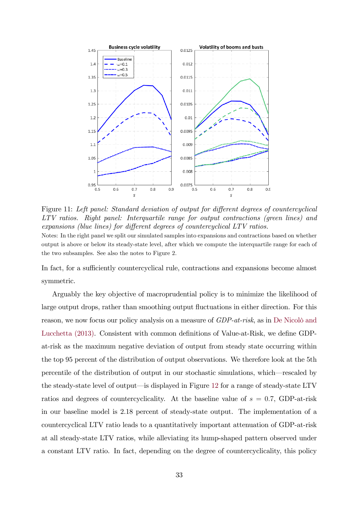

<span id="page-33-0"></span>Figure 11: Left panel: Standard deviation of output for different degrees of countercyclical LTV ratios. Right panel: Interquartile range for output contractions (green lines) and expansions (blue lines) for different degrees of countercyclical LTV ratios. Notes: In the right panel we split our simulated samples into expansions and contractions based on whether output is above or below its steady-state level, after which we compute the interquartile range for each of the two subsamples. See also the notes to Figure 2.

In fact, for a sufficiently countercyclical rule, contractions and expansions become almost symmetric.

Arguably the key objective of macroprudential policy is to minimize the likelihood of large output drops, rather than smoothing output fluctuations in either direction. For this reason, we now focus our policy analysis on a measure of GDP-at-risk, as in De Nicolò and [Lucchetta \(2013\).](#page-37-1) Consistent with common definitions of Value-at-Risk, we define GDPat-risk as the maximum negative deviation of output from steady state occurring within the top 95 percent of the distribution of output observations. We therefore look at the 5th percentile of the distribution of output in our stochastic simulations, which—rescaled by the steady-state level of output—is displayed in Figure [12](#page-34-1) for a range of steady-state LTV ratios and degrees of countercyclicality. At the baseline value of  $s = 0.7$ , GDP-at-risk in our baseline model is 2.18 percent of steady-state output. The implementation of a countercyclical LTV ratio leads to a quantitatively important attenuation of GDP-at-risk at all steady-state LTV ratios, while alleviating its hump-shaped pattern observed under a constant LTV ratio. In fact, depending on the degree of countercyclicality, this policy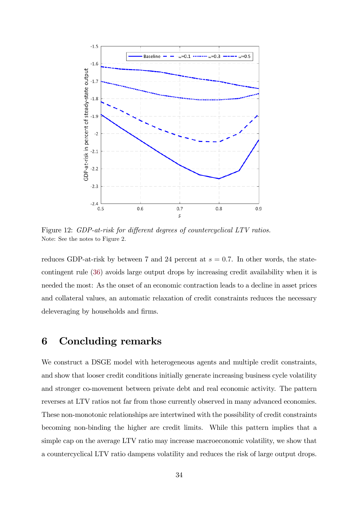

<span id="page-34-1"></span>Figure 12: GDP-at-risk for different degrees of countercyclical LTV ratios. Note: See the notes to Figure 2.

reduces GDP-at-risk by between 7 and 24 percent at  $s = 0.7$ . In other words, the statecontingent rule [\(36\)](#page-32-0) avoids large output drops by increasing credit availability when it is needed the most: As the onset of an economic contraction leads to a decline in asset prices and collateral values, an automatic relaxation of credit constraints reduces the necessary deleveraging by households and firms.

## <span id="page-34-0"></span>6 Concluding remarks

We construct a DSGE model with heterogeneous agents and multiple credit constraints, and show that looser credit conditions initially generate increasing business cycle volatility and stronger co-movement between private debt and real economic activity. The pattern reverses at LTV ratios not far from those currently observed in many advanced economies. These non-monotonic relationships are intertwined with the possibility of credit constraints becoming non-binding the higher are credit limits. While this pattern implies that a simple cap on the average LTV ratio may increase macroeconomic volatility, we show that a countercyclical LTV ratio dampens volatility and reduces the risk of large output drops.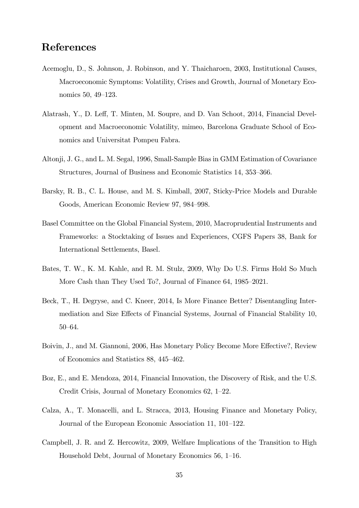## References

- <span id="page-35-1"></span>Acemoglu, D., S. Johnson, J. Robinson, and Y. Thaicharoen, 2003, Institutional Causes, Macroeconomic Symptoms: Volatility, Crises and Growth, Journal of Monetary Economics 50, 49–123.
- <span id="page-35-0"></span>Alatrash, Y., D. Leff, T. Minten, M. Soupre, and D. Van Schoot, 2014, Financial Development and Macroeconomic Volatility, mimeo, Barcelona Graduate School of Economics and Universitat Pompeu Fabra.
- <span id="page-35-5"></span>Altonji, J. G., and L. M. Segal, 1996, Small-Sample Bias in GMM Estimation of Covariance Structures, Journal of Business and Economic Statistics 14, 353–366.
- <span id="page-35-6"></span>Barsky, R. B., C. L. House, and M. S. Kimball, 2007, Sticky-Price Models and Durable Goods, American Economic Review 97, 984–998.
- <span id="page-35-8"></span>Basel Committee on the Global Financial System, 2010, Macroprudential Instruments and Frameworks: a Stocktaking of Issues and Experiences, CGFS Papers 38, Bank for International Settlements, Basel.
- Bates, T. W., K. M. Kahle, and R. M. Stulz, 2009, Why Do U.S. Firms Hold So Much More Cash than They Used To?, Journal of Finance 64, 1985–2021.
- <span id="page-35-2"></span>Beck, T., H. Degryse, and C. Kneer, 2014, Is More Finance Better? Disentangling Intermediation and Size Effects of Financial Systems, Journal of Financial Stability 10, 50-64.
- <span id="page-35-3"></span>Boivin, J., and M. Giannoni, 2006, Has Monetary Policy Become More Effective?, Review of Economics and Statistics 88, 445–462.
- <span id="page-35-9"></span>Boz, E., and E. Mendoza, 2014, Financial Innovation, the Discovery of Risk, and the U.S. Credit Crisis, Journal of Monetary Economics  $62$ ,  $1-22$ .
- <span id="page-35-4"></span>Calza, A., T. Monacelli, and L. Stracca, 2013, Housing Finance and Monetary Policy, Journal of the European Economic Association 11, 101–122.
- <span id="page-35-7"></span>Campbell, J. R. and Z. Hercowitz, 2009, Welfare Implications of the Transition to High Household Debt, Journal of Monetary Economics  $56$ ,  $1-16$ .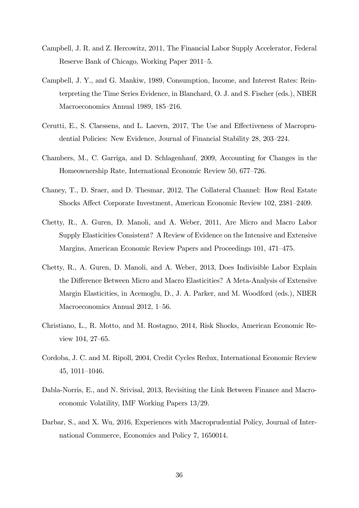- <span id="page-36-7"></span>Campbell, J. R. and Z. Hercowitz, 2011, The Financial Labor Supply Accelerator, Federal Reserve Bank of Chicago, Working Paper 2011–5.
- <span id="page-36-4"></span>Campbell, J. Y., and G. Mankiw, 1989, Consumption, Income, and Interest Rates: Reinterpreting the Time Series Evidence, in Blanchard, O. J. and S. Fischer (eds.), NBER Macroeconomics Annual 1989, 185–216.
- <span id="page-36-8"></span>Cerutti, E., S. Claessens, and L. Laeven, 2017, The Use and Effectiveness of Macroprudential Policies: New Evidence, Journal of Financial Stability 28, 203–224.
- <span id="page-36-10"></span>Chambers, M., C. Garriga, and D. Schlagenhauf, 2009, Accounting for Changes in the Homeownership Rate, International Economic Review 50, 677–726.
- <span id="page-36-2"></span>Chaney, T., D. Sraer, and D. Thesmar, 2012, The Collateral Channel: How Real Estate Shocks Affect Corporate Investment, American Economic Review 102, 2381–2409.
- <span id="page-36-5"></span>Chetty, R., A. Guren, D. Manoli, and A. Weber, 2011, Are Micro and Macro Labor Supply Elasticities Consistent? A Review of Evidence on the Intensive and Extensive Margins, American Economic Review Papers and Proceedings 101, 471–475.
- <span id="page-36-6"></span>Chetty, R., A. Guren, D. Manoli, and A. Weber, 2013, Does Indivisible Labor Explain the Difference Between Micro and Macro Elasticities? A Meta-Analysis of Extensive Margin Elasticities, in Acemoglu, D., J. A. Parker, and M. Woodford (eds.), NBER Macroeconomics Annual 2012, 1–56.
- <span id="page-36-3"></span>Christiano, L., R. Motto, and M. Rostagno, 2014, Risk Shocks, American Economic Review  $104, 27 - 65$ .
- <span id="page-36-0"></span>Cordoba, J. C. and M. Ripoll, 2004, Credit Cycles Redux, International Economic Review  $45, 1011 - 1046.$
- <span id="page-36-1"></span>Dabla-Norris, E., and N. Srivisal, 2013, Revisiting the Link Between Finance and Macroeconomic Volatility, IMF Working Papers 13/29.
- <span id="page-36-9"></span>Darbar, S., and X. Wu, 2016, Experiences with Macroprudential Policy, Journal of International Commerce, Economics and Policy 7, 1650014.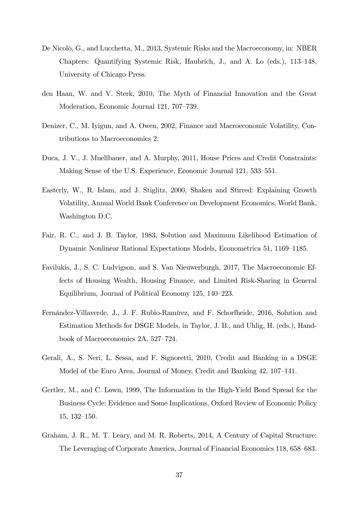- <span id="page-37-1"></span>De Nicolò, G., and Lucchetta, M., 2013, Systemic Risks and the Macroeconomy, in: NBER Chapters: Quantifying Systemic Risk, Haubrich, J., and A. Lo (eds.), 113–148, University of Chicago Press.
- <span id="page-37-4"></span>den Haan, W. and V. Sterk, 2010, The Myth of Financial Innovation and the Great Moderation, Economic Journal 121, 707–739.
- <span id="page-37-2"></span>Denizer, C., M. Iyigun, and A. Owen, 2002, Finance and Macroeconomic Volatility, Contributions to Macroeconomics 2.
- <span id="page-37-7"></span>Duca, J. V., J. Muellbauer, and A. Murphy, 2011, House Prices and Credit Constraints: Making Sense of the U.S. Experience, Economic Journal 121, 533–551.
- <span id="page-37-3"></span>Easterly, W., R. Islam, and J. Stiglitz, 2000, Shaken and Stirred: Explaining Growth Volatility, Annual World Bank Conference on Development Economics, World Bank, Washington D.C.
- <span id="page-37-6"></span>Fair, R. C., and J. B. Taylor, 1983, Solution and Maximum Likelihood Estimation of Dynamic Nonlinear Rational Expectations Models, Econometrica 51, 1169–1185.
- <span id="page-37-8"></span>Favilukis, J., S. C. Ludvigson, and S. Van Nieuwerburgh, 2017, The Macroeconomic Effects of Housing Wealth, Housing Finance, and Limited Risk-Sharing in General Equilibrium, Journal of Political Economy 125, 140–223.
- Fernández-Villaverde, J., J. F. Rubio-Ramírez, and F. Schorfheide, 2016, Solution and Estimation Methods for DSGE Models, in Taylor, J. B., and Uhlig, H. (eds.), Handbook of Macroeconomics 2A, 527–724.
- <span id="page-37-5"></span>Gerali, A., S. Neri, L. Sessa, and F. Signoretti, 2010, Credit and Banking in a DSGE Model of the Euro Area, Journal of Money, Credit and Banking 42, 107–141.
- <span id="page-37-9"></span>Gertler, M., and C. Lown, 1999, The Information in the High-Yield Bond Spread for the Business Cycle: Evidence and Some Implications, Oxford Review of Economic Policy  $15, 132-150.$
- <span id="page-37-0"></span>Graham, J. R., M. T. Leary, and M. R. Roberts, 2014, A Century of Capital Structure: The Leveraging of Corporate America, Journal of Financial Economics 118, 658–683.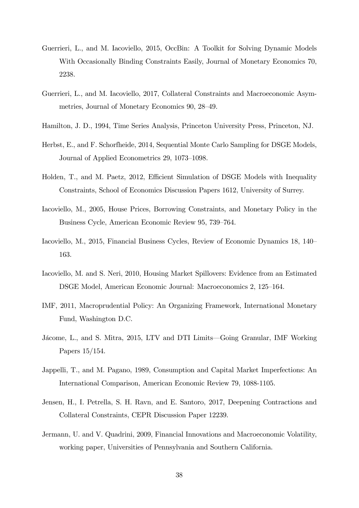- <span id="page-38-6"></span>Guerrieri, L., and M. Iacoviello, 2015, OccBin: A Toolkit for Solving Dynamic Models With Occasionally Binding Constraints Easily, Journal of Monetary Economics 70, 2238.
- <span id="page-38-1"></span>Guerrieri, L., and M. Iacoviello, 2017, Collateral Constraints and Macroeconomic Asymmetries, Journal of Monetary Economics 90, 28–49.
- <span id="page-38-12"></span>Hamilton, J. D., 1994, Time Series Analysis, Princeton University Press, Princeton, NJ.
- <span id="page-38-7"></span>Herbst, E., and F. Schorfheide, 2014, Sequential Monte Carlo Sampling for DSGE Models, Journal of Applied Econometrics 29, 1073–1098.
- <span id="page-38-5"></span>Holden, T., and M. Paetz, 2012, Efficient Simulation of DSGE Models with Inequality Constraints, School of Economics Discussion Papers 1612, University of Surrey.
- <span id="page-38-0"></span>Iacoviello, M., 2005, House Prices, Borrowing Constraints, and Monetary Policy in the Business Cycle, American Economic Review 95, 739–764.
- <span id="page-38-3"></span>Iacoviello, M., 2015, Financial Business Cycles, Review of Economic Dynamics 18, 140 163.
- <span id="page-38-8"></span>Iacoviello, M. and S. Neri, 2010, Housing Market Spillovers: Evidence from an Estimated DSGE Model, American Economic Journal: Macroeconomics 2, 125–164.
- <span id="page-38-2"></span>IMF, 2011, Macroprudential Policy: An Organizing Framework, International Monetary Fund, Washington D.C.
- <span id="page-38-10"></span>Jácome, L., and S. Mitra, 2015, LTV and DTI Limits—Going Granular, IMF Working Papers 15/154.
- <span id="page-38-9"></span>Jappelli, T., and M. Pagano, 1989, Consumption and Capital Market Imperfections: An International Comparison, American Economic Review 79, 1088-1105.
- <span id="page-38-4"></span>Jensen, H., I. Petrella, S. H. Ravn, and E. Santoro, 2017, Deepening Contractions and Collateral Constraints, CEPR Discussion Paper 12239.
- <span id="page-38-11"></span>Jermann, U. and V. Quadrini, 2009, Financial Innovations and Macroeconomic Volatility, working paper, Universities of Pennsylvania and Southern California.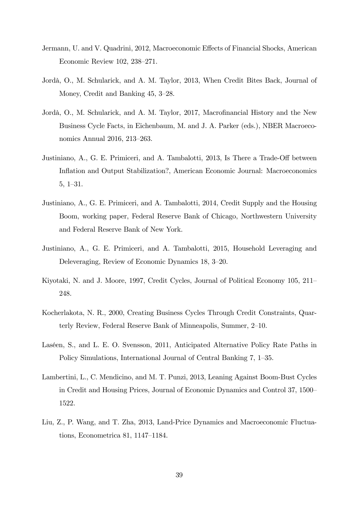- <span id="page-39-7"></span>Jermann, U. and V. Quadrini, 2012, Macroeconomic Effects of Financial Shocks, American Economic Review 102,  $238-271$ .
- <span id="page-39-5"></span>Jordà, O., M. Schularick, and A. M. Taylor, 2013, When Credit Bites Back, Journal of Money, Credit and Banking  $45, 3-28$ .
- <span id="page-39-1"></span>Jordà, O., M. Schularick, and A. M. Taylor, 2017, Macrofinancial History and the New Business Cycle Facts, in Eichenbaum, M. and J. A. Parker (eds.), NBER Macroeconomics Annual 2016, 213–263.
- <span id="page-39-9"></span>Justiniano, A., G. E. Primiceri, and A. Tambalotti, 2013, Is There a Trade-Off between Inflation and Output Stabilization?, American Economic Journal: Macroeconomics  $5, 1-31.$
- <span id="page-39-4"></span>Justiniano, A., G. E. Primiceri, and A. Tambalotti, 2014, Credit Supply and the Housing Boom, working paper, Federal Reserve Bank of Chicago, Northwestern University and Federal Reserve Bank of New York.
- <span id="page-39-3"></span>Justiniano, A., G. E. Primiceri, and A. Tambalotti, 2015, Household Leveraging and Deleveraging, Review of Economic Dynamics 18, 3–20.
- <span id="page-39-0"></span>Kiyotaki, N. and J. Moore, 1997, Credit Cycles, Journal of Political Economy 105, 211– 248.
- <span id="page-39-8"></span>Kocherlakota, N. R., 2000, Creating Business Cycles Through Credit Constraints, Quarterly Review, Federal Reserve Bank of Minneapolis, Summer, 2–10.
- <span id="page-39-6"></span>Laséen, S., and L. E. O. Svensson, 2011, Anticipated Alternative Policy Rate Paths in Policy Simulations, International Journal of Central Banking 7, 1–35.
- <span id="page-39-10"></span>Lambertini, L., C. Mendicino, and M. T. Punzi, 2013, Leaning Against Boom-Bust Cycles in Credit and Housing Prices, Journal of Economic Dynamics and Control 37, 1500– 1522.
- <span id="page-39-2"></span>Liu, Z., P. Wang, and T. Zha, 2013, Land-Price Dynamics and Macroeconomic Fluctuations, Econometrica 81, 1147–1184.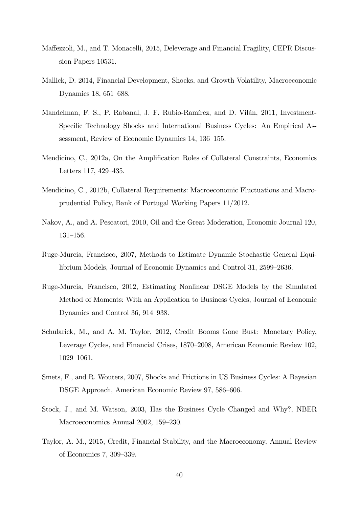- <span id="page-40-1"></span>Maffezzoli, M., and T. Monacelli, 2015, Deleverage and Financial Fragility, CEPR Discussion Papers 10531.
- <span id="page-40-5"></span>Mallick, D. 2014, Financial Development, Shocks, and Growth Volatility, Macroeconomic Dynamics 18, 651–688.
- <span id="page-40-10"></span>Mandelman, F. S., P. Rabanal, J. F. Rubio-Ramírez, and D. Vilán, 2011, Investment-Specific Technology Shocks and International Business Cycles: An Empirical Assessment, Review of Economic Dynamics 14, 136–155.
- <span id="page-40-2"></span>Mendicino, C., 2012a, On the Amplification Roles of Collateral Constraints, Economics Letters 117,  $429 - 435$ .
- <span id="page-40-3"></span>Mendicino, C., 2012b, Collateral Requirements: Macroeconomic Fluctuations and Macroprudential Policy, Bank of Portugal Working Papers 11/2012.
- <span id="page-40-7"></span>Nakov, A., and A. Pescatori, 2010, Oil and the Great Moderation, Economic Journal 120, 131-156.
- <span id="page-40-9"></span>Ruge-Murcia, Francisco, 2007, Methods to Estimate Dynamic Stochastic General Equilibrium Models, Journal of Economic Dynamics and Control 31, 2599–2636.
- <span id="page-40-8"></span>Ruge-Murcia, Francisco, 2012, Estimating Nonlinear DSGE Models by the Simulated Method of Moments: With an Application to Business Cycles, Journal of Economic Dynamics and Control 36, 914–938.
- <span id="page-40-4"></span>Schularick, M., and A. M. Taylor, 2012, Credit Booms Gone Bust: Monetary Policy, Leverage Cycles, and Financial Crises, 1870–2008, American Economic Review 102, 1029–1061.
- <span id="page-40-11"></span>Smets, F., and R. Wouters, 2007, Shocks and Frictions in US Business Cycles: A Bayesian DSGE Approach, American Economic Review 97, 586–606.
- <span id="page-40-6"></span>Stock, J., and M. Watson, 2003, Has the Business Cycle Changed and Why?, NBER Macroeconomics Annual 2002, 159–230.
- <span id="page-40-0"></span>Taylor, A. M., 2015, Credit, Financial Stability, and the Macroeconomy, Annual Review of Economics 7, 309–339.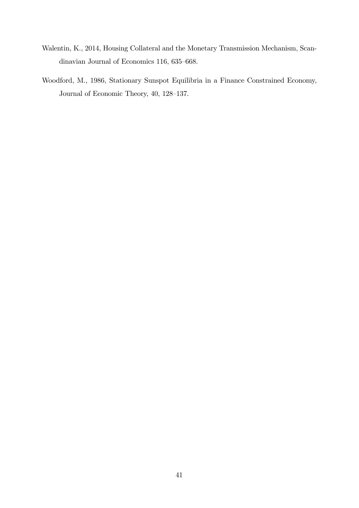- <span id="page-41-0"></span>Walentin, K., 2014, Housing Collateral and the Monetary Transmission Mechanism, Scandinavian Journal of Economics 116,  $635-668$ .
- <span id="page-41-1"></span>Woodford, M., 1986, Stationary Sunspot Equilibria in a Finance Constrained Economy, Journal of Economic Theory, 40, 128–137.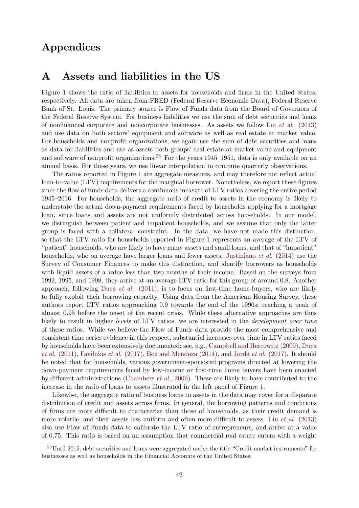## Appendices

## A Assets and liabilities in the US

Figure [1](#page-2-0) shows the ratio of liabilities to assets for households and firms in the United States. respectively. All data are taken from FRED (Federal Reserve Economic Data), Federal Reserve Bank of St. Louis. The primary source is Flow of Funds data from the Board of Governors of the Federal Reserve System. For business liabilities we use the sum of debt securities and loans of nonfinancial corporate and noncorporate businesses. As assets we follow Liu  $et$  al[. \(2013\)](#page-39-2) and use data on both sectors' equipment and software as well as real estate at market value. For households and nonprofit organizations, we again use the sum of debt securities and loans as data for liabilities and use as assets both groups' real estate at market value and equipment and software of nonprofit organizations.<sup>[28](#page-42-0)</sup> For the years 1945–1951, data is only available on an annual basis. For these years, we use linear interpolation to compute quarterly observations.

The ratios reported in Figure [1](#page-2-0) are aggregate measures, and may therefore not reflect actual loan-to-value (LTV) requirements for the marginal borrower. Nonetheless, we report these figures since the flow of funds data delivers a continuous measure of LTV ratios covering the entire period 1945–2016. For households, the aggregate ratio of credit to assets in the economy is likely to understate the actual down-payment requirements faced by households applying for a mortgage loan, since loans and assets are not uniformly distributed across households. In our model, we distinguish between patient and impatient households, and we assume that only the latter group is faced with a collateral constraint. In the data, we have not made this distinction, so that the LTV ratio for households reported in Figure [1](#page-2-0) represents an average of the LTV of "patient" households, who are likely to have many assets and small loans, and that of "impatient" households, who on average have larger loans and fewer assets. [Justiniano](#page-39-4) *et al.* (2014) use the Survey of Consumer Finances to make this distinction, and identify borrowers as households with liquid assets of a value less than two months of their income. Based on the surveys from 1992, 1995, and 1998, they arrive at an average LTV ratio for this group of around 0.8. Another approach, following Duca *et al.* (2011), is to focus on first-time home-buyers, who are likely to fully exploit their borrowing capacity. Using data from the American Housing Survey, these authors report LTV ratios approaching 0.9 towards the end of the 1990s; reaching a peak of almost 0.95 before the onset of the recent crisis. While these alternative approaches are thus likely to result in higher levels of LTV ratios, we are interested in the development over time of these ratios. While we believe the Flow of Funds data provide the most comprehensive and consistent time series evidence in this respect, substantial increases over time in LTV ratios faced by households have been extensively documented; see, e.g., [Campbell and Hercowitz \(2009\),](#page-35-7) [Duca](#page-37-7) et al.  $(2011)$ , [Favilukis](#page-37-8) et al.  $(2017)$ , Boz and Mendoza  $(2014)$ , and Jordá et al.  $(2017)$ . It should be noted that for households, various government-sponsored programs directed at lowering the down-payment requirements faced by low-income or Örst-time home buyers have been enacted by different administrations [\(Chambers](#page-36-10) *et al.*, 2009). These are likely to have contributed to the increase in the ratio of loans to assets illustrated in the left panel of Figure [1.](#page-2-0)

Likewise, the aggregate ratio of business loans to assets in the data may cover for a disparate distribution of credit and assets across firms. In general, the borrowing patterns and conditions of firms are more difficult to characterize than those of households, as their credit demand is more volatile, and their assets less uniform and often more difficult to assess. Liu *et al.* (2013) also use Flow of Funds data to calibrate the LTV ratio of entrepreneurs, and arrive at a value of 0.75. This ratio is based on an assumption that commercial real estate enters with a weight

<span id="page-42-0"></span> $^{28}$ Until 2015, debt securities and loans were aggregated under the title "Credit market instruments" for businesses as well as households in the Financial Accounts of the United States.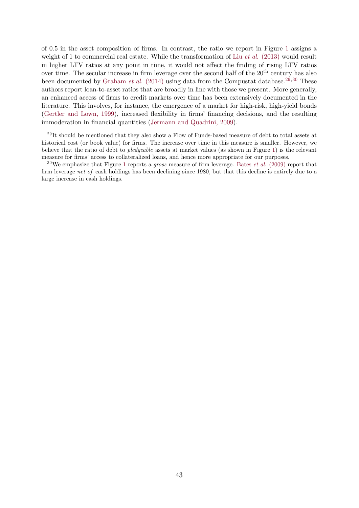of 0.5 in the asset composition of Örms. In contrast, the ratio we report in Figure [1](#page-2-0) assigns a weight of 1 to commercial real estate. While the transformation of Liu et al[. \(2013\)](#page-39-2) would result in higher LTV ratios at any point in time, it would not affect the finding of rising LTV ratios over time. The secular increase in firm leverage over the second half of the  $20<sup>th</sup>$  century has also been documented by [Graham](#page-37-0) *et al.* (2014) using data from the Compustat database.<sup>[29,](#page-43-0)[30](#page-43-1)</sup> These authors report loan-to-asset ratios that are broadly in line with those we present. More generally, an enhanced access of firms to credit markets over time has been extensively documented in the literature. This involves, for instance, the emergence of a market for high-risk, high-yield bonds [\(Gertler and Lown, 1999\)](#page-37-9), increased flexibility in firms' financing decisions, and the resulting immoderation in financial quantities [\(Jermann and Quadrini, 2009\)](#page-38-11).

<span id="page-43-0"></span> $29$ It should be mentioned that they also show a Flow of Funds-based measure of debt to total assets at historical cost (or book value) for firms. The increase over time in this measure is smaller. However, we believe that the ratio of debt to pledgeable assets at market values (as shown in Figure [1\)](#page-2-0) is the relevant measure for firms' access to collateralized loans, and hence more appropriate for our purposes.

<span id="page-43-1"></span> $30\,\text{We emphasize that Figure 1 reports a gross measure of firm leverage. Bates et al. (2009) report that}$  $30\,\text{We emphasize that Figure 1 reports a gross measure of firm leverage. Bates et al. (2009) report that}$  $30\,\text{We emphasize that Figure 1 reports a gross measure of firm leverage. Bates et al. (2009) report that}$  $30\,\text{We emphasize that Figure 1 reports a gross measure of firm leverage. Bates et al. (2009) report that}$  $30\,\text{We emphasize that Figure 1 reports a gross measure of firm leverage. Bates et al. (2009) report that}$ firm leverage net of cash holdings has been declining since 1980, but that this decline is entirely due to a large increase in cash holdings.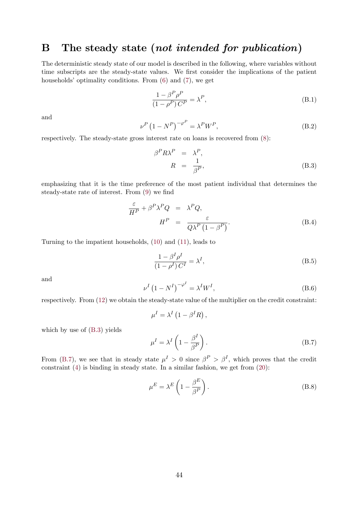## B The steady state (not intended for publication)

The deterministic steady state of our model is described in the following, where variables without time subscripts are the steady-state values. We first consider the implications of the patient households' optimality conditions. From  $(6)$  and  $(7)$ , we get

$$
\frac{1 - \beta^P \rho^P}{(1 - \rho^P) C^P} = \lambda^P,
$$
\n(B.1)

and

$$
\nu^P \left(1 - N^P\right)^{-\varphi^P} = \lambda^P W^P,\tag{B.2}
$$

respectively. The steady-state gross interest rate on loans is recovered from [\(8\)](#page-9-0):

$$
\beta^P R \lambda^P = \lambda^P,
$$
  
\n
$$
R = \frac{1}{\beta^P},
$$
\n(B.3)

emphasizing that it is the time preference of the most patient individual that determines the steady-state rate of interest. From  $(9)$  we find

$$
\frac{\varepsilon}{H^P} + \beta^P \lambda^P Q = \lambda^P Q,
$$
  

$$
H^P = \frac{\varepsilon}{Q\lambda^P (1 - \beta^P)}.
$$
 (B.4)

Turning to the impatient households, [\(10\)](#page-9-2) and [\(11\)](#page-9-2), leads to

$$
\frac{1 - \beta^I \rho^I}{(1 - \rho^I) C^I} = \lambda^I,
$$
\n(B.5)

and

$$
\nu^{I} \left(1 - N^{I}\right)^{-\varphi^{I}} = \lambda^{I} W^{I},\tag{B.6}
$$

respectively. From [\(12\)](#page-9-2) we obtain the steady-state value of the multiplier on the credit constraint:

$$
\mu^I = \lambda^I \left( 1 - \beta^I R \right),
$$

which by use of [\(B.3\)](#page-8-0) yields

<span id="page-44-0"></span>
$$
\mu^I = \lambda^I \left( 1 - \frac{\beta^I}{\beta^P} \right). \tag{B.7}
$$

From [\(B.7\)](#page-44-0), we see that in steady state  $\mu^I > 0$  since  $\beta^P > \beta^I$ , which proves that the credit constraint  $(4)$  is binding in steady state. In a similar fashion, we get from  $(20)$ :

<span id="page-44-1"></span>
$$
\mu^E = \lambda^E \left( 1 - \frac{\beta^E}{\beta^P} \right). \tag{B.8}
$$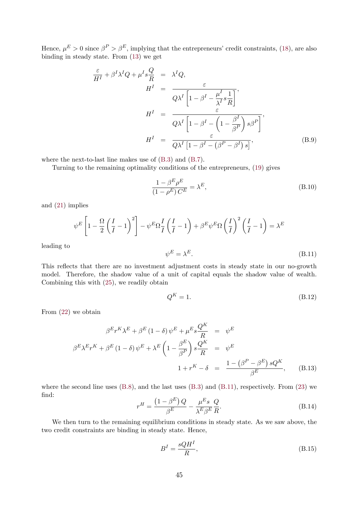Hence,  $\mu^E > 0$  since  $\beta^P > \beta^E$ , implying that the entrepreneurs' credit constraints, [\(18\)](#page-10-3), are also binding in steady state. From [\(13\)](#page-9-3) we get

$$
\frac{\varepsilon}{H^{I}} + \beta^{I} \lambda^{I} Q + \mu^{I} s \frac{Q}{R} = \lambda^{I} Q,
$$
\n
$$
H^{I} = \frac{\varepsilon}{Q \lambda^{I} \left[1 - \beta^{I} - \frac{\mu^{I}}{\lambda^{I}} s \frac{1}{R}\right]},
$$
\n
$$
H^{I} = \frac{\varepsilon}{Q \lambda^{I} \left[1 - \beta^{I} - \left(1 - \frac{\beta^{I}}{\beta^{P}}\right) s \beta^{P}\right]},
$$
\n
$$
H^{I} = \frac{\varepsilon}{Q \lambda^{I} \left[1 - \beta^{I} - \left(\beta^{P} - \beta^{I}\right) s\right]},
$$
\n(B.9)

where the next-to-last line makes use of [\(B.3\)](#page-8-0) and [\(B.7\)](#page-44-0).

Turning to the remaining optimality conditions of the entrepreneurs, [\(19\)](#page-10-5) gives

$$
\frac{1 - \beta^E \rho^E}{(1 - \rho^E) C^E} = \lambda^E,
$$
\n(B.10)

and [\(21\)](#page-10-6) implies

$$
\psi^E \left[ 1 - \frac{\Omega}{2} \left( \frac{I}{I} - 1 \right)^2 \right] - \psi^E \Omega \frac{I}{I} \left( \frac{I}{I} - 1 \right) + \beta^E \psi^E \Omega \left( \frac{I}{I} \right)^2 \left( \frac{I}{I} - 1 \right) = \lambda^E
$$

leading to

<span id="page-45-0"></span>
$$
\psi^E = \lambda^E. \tag{B.11}
$$

This reflects that there are no investment adjustment costs in steady state in our no-growth model. Therefore, the shadow value of a unit of capital equals the shadow value of wealth. Combining this with [\(25\)](#page-11-1), we readily obtain

<span id="page-45-1"></span>
$$
Q^K = 1.\tag{B.12}
$$

From [\(22\)](#page-11-0) we obtain

$$
\beta^{E}r^{K}\lambda^{E} + \beta^{E} (1 - \delta)\psi^{E} + \mu^{E} s \frac{Q^{K}}{R} = \psi^{E}
$$
  

$$
\beta^{E}\lambda^{E}r^{K} + \beta^{E} (1 - \delta)\psi^{E} + \lambda^{E} \left(1 - \frac{\beta^{E}}{\beta^{P}}\right)s \frac{Q^{K}}{R} = \psi^{E}
$$
  

$$
1 + r^{K} - \delta = \frac{1 - (\beta^{P} - \beta^{E})sQ^{K}}{\beta^{E}}, \quad (B.13)
$$

where the second line uses  $(B.8)$ , and the last uses  $(B.3)$  and  $(B.11)$ , respectively. From  $(23)$  we find:

$$
r^{H} = \frac{\left(1 - \beta^{E}\right)Q}{\beta^{E}} - \frac{\mu^{E}s}{\lambda^{E}\beta^{E}}\frac{Q}{R}.
$$
\n(B.14)

We then turn to the remaining equilibrium conditions in steady state. As we saw above, the two credit constraints are binding in steady state. Hence,

$$
B^I = \frac{sQH^I}{R},\tag{B.15}
$$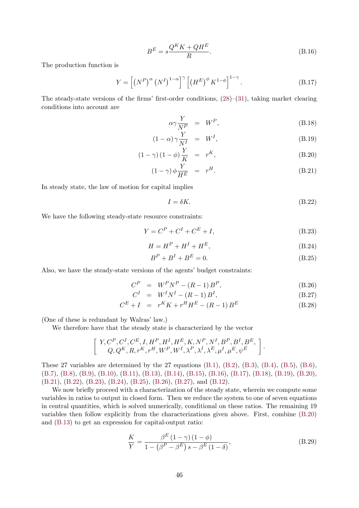$$
B^{E} = s \frac{Q^{K} K + Q H^{E}}{R}.
$$
\n(B.16)

The production function is

$$
Y = \left[ \left( N^P \right)^{\alpha} \left( N^I \right)^{1-\alpha} \right]^{\gamma} \left[ \left( H^E \right)^{\phi} K^{1-\phi} \right]^{1-\gamma} . \tag{B.17}
$$

The steady-state versions of the firms' first-order conditions,  $(28)$ – $(31)$ , taking market clearing conditions into account are

$$
\alpha \gamma \frac{Y}{N^P} = W^P, \tag{B.18}
$$

$$
(1 - \alpha) \gamma \frac{Y}{N^I} = W^I, \tag{B.19}
$$

$$
(1 - \gamma) (1 - \phi) \frac{Y}{K} = r^K,
$$
\n(B.20)

$$
(1 - \gamma) \phi \frac{Y}{H^E} = r^H. \tag{B.21}
$$

In steady state, the law of motion for capital implies

$$
I = \delta K. \tag{B.22}
$$

We have the following steady-state resource constraints:

<span id="page-46-0"></span>
$$
Y = C^{P} + C^{I} + C^{E} + I,
$$
\n(B.23)

$$
H = H^P + H^I + H^E,\tag{B.24}
$$

$$
B^P + B^I + B^E = 0.
$$
 (B.25)

Also, we have the steady-state versions of the agents' budget constraints:

$$
C^{P} = W^{P}N^{P} - (R - 1)B^{P}, \qquad (B.26)
$$

$$
C^{I} = W^{I}N^{I} - (R - 1)B^{I}, \qquad (B.27)
$$

$$
C^{E} + I = r^{K} K + r^{H} H^{E} - (R - 1) B^{E}
$$
 (B.28)

(One of these is redundant by Walras' law.)

We therefore have that the steady state is characterized by the vector

$$
\begin{bmatrix} Y, C^P, C^I, C^E, I, H^P, H^I, H^E, K, N^P, N^I, B^P, B^I, B^E, \\ Q, Q^K, R, r^K, r^H, W^P, W^I, \lambda^P, \lambda^I, \lambda^E, \mu^I, \mu^E, \psi^E \end{bmatrix}.
$$

These 27 variables are determined by the 27 equations [\(B.1\)](#page-7-2), [\(B.2\)](#page-7-3), [\(B.3\)](#page-8-0), [\(B.4\)](#page-8-1), [\(B.5\)](#page-8-2), [\(B.6\)](#page-9-0), [\(B.7\)](#page-44-0), [\(B.8\)](#page-44-1), [\(B.9\)](#page-9-1), [\(B.10\)](#page-9-2), [\(B.11\)](#page-45-0), [\(B.13\)](#page-9-3), [\(B.14\)](#page-9-4), [\(B.15\)](#page-9-5), [\(B.16\)](#page-10-2), [\(B.17\)](#page-10-4), [\(B.18\)](#page-10-3), [\(B.19\)](#page-10-3), ([B.20\)](#page-10-3), [\(B.21\)](#page-10-3), [\(B.22\)](#page-11-0), [\(B.23\)](#page-46-0), [\(B.24\)](#page-11-4), [\(B.25\)](#page-11-1), [\(B.26\)](#page-11-3), [\(B.27\)](#page-11-3), and [\(B.12\)](#page-45-1).

We now briefly proceed with a characterization of the steady state, wherein we compute some variables in ratios to output in closed form. Then we reduce the system to one of seven equations in central quantities, which is solved numerically, conditional on these ratios. The remaining 19 variables then follow explicitly from the characterizations given above. First, combine [\(B.20\)](#page-10-3) and [\(B.13\)](#page-9-3) to get an expression for capital-output ratio:

<span id="page-46-1"></span>
$$
\frac{K}{Y} = \frac{\beta^{E} (1 - \gamma) (1 - \phi)}{1 - (\beta^{P} - \beta^{E}) s - \beta^{E} (1 - \delta)},
$$
\n(B.29)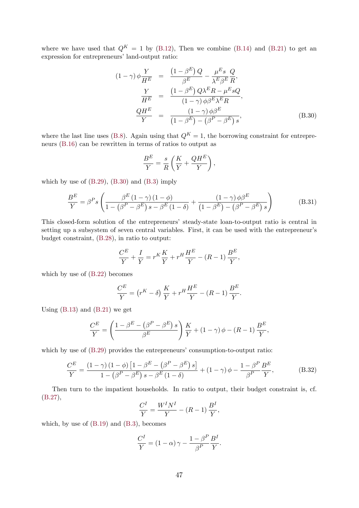where we have used that  $Q^{K} = 1$  by [\(B.12\)](#page-45-1), Then we combine [\(B.14\)](#page-9-4) and [\(B.21\)](#page-10-3) to get an expression for entrepreneurs' land-output ratio:

<span id="page-47-0"></span>
$$
(1 - \gamma) \phi \frac{Y}{H^E} = \frac{(1 - \beta^E) Q}{\beta^E} - \frac{\mu^E s}{\lambda^E \beta^E R},
$$
  

$$
\frac{Y}{H^E} = \frac{(1 - \beta^E) Q \lambda^E R - \mu^E s Q}{(1 - \gamma) \phi \beta^E \lambda^E R},
$$
  

$$
\frac{Q H^E}{Y} = \frac{(1 - \gamma) \phi \beta^E}{(1 - \beta^E) - (\beta^P - \beta^E) s},
$$
(B.30)

where the last line uses [\(B.8\)](#page-44-1). Again using that  $Q^{K} = 1$ , the borrowing constraint for entrepreneurs [\(B.16\)](#page-10-2) can be rewritten in terms of ratios to output as

$$
\frac{B^E}{Y} = \frac{s}{R} \left( \frac{K}{Y} + \frac{QH^E}{Y} \right),\,
$$

which by use of  $(B.29)$ ,  $(B.30)$  and  $(B.3)$  imply

<span id="page-47-1"></span>
$$
\frac{B^E}{Y} = \beta^P s \left( \frac{\beta^E (1 - \gamma) (1 - \phi)}{1 - (\beta^P - \beta^E) s - \beta^E (1 - \delta)} + \frac{(1 - \gamma) \phi \beta^E}{(1 - \beta^E) - (\beta^P - \beta^E) s} \right)
$$
(B.31)

This closed-form solution of the entrepreneurs' steady-state loan-to-output ratio is central in setting up a subsystem of seven central variables. First, it can be used with the entrepreneur's budget constraint, [\(B.28\)](#page-11-3), in ratio to output:

$$
\frac{C^E}{Y} + \frac{I}{Y} = r^K \frac{K}{Y} + r^H \frac{H^E}{Y} - (R - 1) \frac{B^E}{Y},
$$

which by use of [\(B.22\)](#page-11-0) becomes

$$
\frac{C^{E}}{Y} = (r^{K} - \delta) \frac{K}{Y} + r^{H} \frac{H^{E}}{Y} - (R - 1) \frac{B^{E}}{Y}.
$$

Using  $(B.13)$  and  $(B.21)$  we get

$$
\frac{C^{E}}{Y} = \left(\frac{1-\beta^{E}-(\beta^{P}-\beta^{E})s}{\beta^{E}}\right)\frac{K}{Y} + (1-\gamma)\phi - (R-1)\frac{B^{E}}{Y},
$$

which by use of  $(B.29)$  provides the entrepreneurs' consumption-to-output ratio:

$$
\frac{C^{E}}{Y} = \frac{(1-\gamma)(1-\phi)\left[1-\beta^{E}-(\beta^{P}-\beta^{E})s\right]}{1-(\beta^{P}-\beta^{E})s-\beta^{E}(1-\delta)} + (1-\gamma)\phi - \frac{1-\beta^{P}}{\beta^{P}}\frac{B^{E}}{Y},
$$
(B.32)

Then turn to the impatient households. In ratio to output, their budget constraint is, cf. [\(B.27\)](#page-11-3),

$$
\frac{C^I}{Y} = \frac{W^I N^I}{Y} - (R - 1)\frac{B^I}{Y},
$$

which, by use of  $(B.19)$  and  $(B.3)$ , becomes

$$
\frac{C^I}{Y} = (1 - \alpha) \gamma - \frac{1 - \beta^P}{\beta^P} \frac{B^I}{Y}.
$$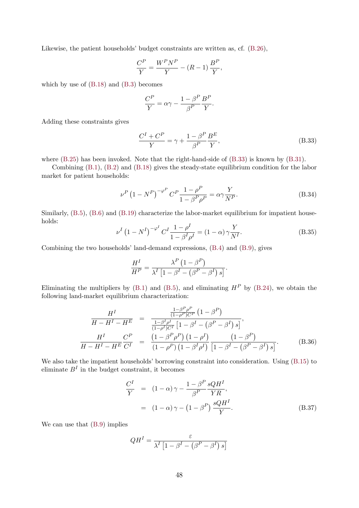Likewise, the patient households' budget constraints are written as, cf.  $(B.26)$ ,

$$
\frac{C^P}{Y} = \frac{W^P N^P}{Y} - (R - 1)\frac{B^P}{Y},
$$

which by use of  $(B.18)$  and  $(B.3)$  becomes

$$
\frac{C^P}{Y} = \alpha \gamma - \frac{1 - \beta^P}{\beta^P} \frac{B^P}{Y}.
$$

Adding these constraints gives

$$
\frac{C^I + C^P}{Y} = \gamma + \frac{1 - \beta^P}{\beta^P} \frac{B^E}{Y},
$$
\n(B.33)

where  $(B.25)$  has been invoked. Note that the right-hand-side of  $(B.33)$  is known by  $(B.31)$ .

Combining [\(B.1\)](#page-7-2), [\(B.2\)](#page-7-3) and [\(B.18\)](#page-10-3) gives the steady-state equilibrium condition for the labor market for patient households:

$$
\nu^P \left(1 - N^P\right)^{-\varphi^P} C^P \frac{1 - \rho^P}{1 - \beta^P \rho^P} = \alpha \gamma \frac{Y}{N^P}.
$$
\n(B.34)

Similarly,  $(B.5)$ ,  $(B.6)$  and  $(B.19)$  characterize the labor-market equilibrium for impatient households:

<span id="page-48-1"></span>
$$
\nu^{I} (1 - N^{I})^{-\varphi^{I}} C^{I} \frac{1 - \rho^{I}}{1 - \beta^{I} \rho^{I}} = (1 - \alpha) \gamma \frac{Y}{N^{I}}.
$$
 (B.35)

Combining the two households' land-demand expressions,  $(B.4)$  and  $(B.9)$ , gives

$$
\frac{H^I}{H^P} = \frac{\lambda^P (1 - \beta^P)}{\lambda^I [1 - \beta^I - (\beta^P - \beta^I) s]}.
$$

Eliminating the multipliers by  $(B.1)$  and  $(B.5)$ , and eliminating  $H^P$  by  $(B.24)$ , we obtain the following land-market equilibrium characterization:

<span id="page-48-2"></span>
$$
\frac{H^I}{H - H^I - H^E} = \frac{\frac{1 - \beta^P \rho^P}{(1 - \rho^P) C^P} (1 - \beta^P)}{\frac{1 - \beta^I \rho^I}{(1 - \rho^I) C^I} [1 - \beta^I - (\beta^P - \beta^I) s]},
$$
\n
$$
\frac{H^I}{H - H^I - H^E} \frac{C^P}{C^I} = \frac{(1 - \beta^P \rho^P) (1 - \rho^I)}{(1 - \rho^P) (1 - \beta^I \rho^I)} \frac{(1 - \beta^P)}{[1 - \beta^I - (\beta^P - \beta^I) s]}.
$$
\n(B.36)

We also take the impatient households' borrowing constraint into consideration. Using  $(B.15)$  to eliminate  $B<sup>I</sup>$  in the budget constraint, it becomes

<span id="page-48-0"></span>
$$
\frac{C^I}{Y} = (1 - \alpha)\gamma - \frac{1 - \beta^P}{\beta^P} \frac{sQH^I}{YR},
$$
  
= 
$$
(1 - \alpha)\gamma - (1 - \beta^P) \frac{sQH^I}{Y}.
$$
 (B.37)

We can use that  $(B.9)$  implies

$$
QH^{I} = \frac{\varepsilon}{\lambda^{I} \left[1 - \beta^{I} - (\beta^{P} - \beta^{I}) s\right]}
$$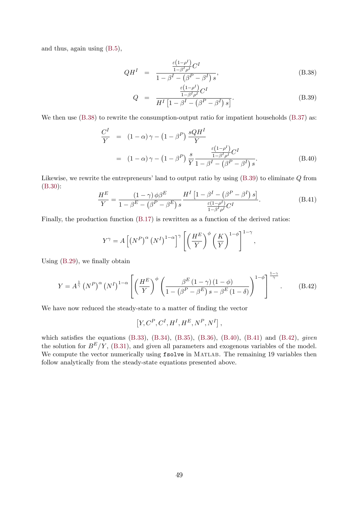and thus, again using [\(B.5\)](#page-8-2),

$$
QH^{I} = \frac{\frac{\varepsilon(1-\rho^{I})}{1-\beta^{I}\rho^{I}}C^{I}}{1-\beta^{I}-(\beta^{P}-\beta^{I})s},
$$
\n(B.38)

<span id="page-49-0"></span>
$$
Q = \frac{\frac{\varepsilon(1-\rho^{I})}{1-\beta^{I}\rho^{I}}C^{I}}{H^{I}\left[1-\beta^{I}-(\beta^{P}-\beta^{I})s\right]}.
$$
\n(B.39)

We then use  $(B.38)$  to rewrite the consumption-output ratio for impatient households  $(B.37)$  as:

<span id="page-49-1"></span>
$$
\frac{C^I}{Y} = (1 - \alpha)\gamma - (1 - \beta^P) \frac{sQH^I}{Y}
$$

$$
= (1 - \alpha)\gamma - (1 - \beta^P) \frac{s}{Y} \frac{\frac{\varepsilon (1 - \rho^I)}{1 - \beta^I \rho^I} C^I}{1 - \beta^I - (\beta^P - \beta^I)s}.
$$
(B.40)

Likewise, we rewrite the entrepreneurs' land to output ratio by using  $(B.39)$  to eliminate  $Q$  from [\(B.30\)](#page-47-0):

<span id="page-49-2"></span>
$$
\frac{H^{E}}{Y} = \frac{(1-\gamma)\phi\beta^{E}}{1-\beta^{E}-(\beta^{P}-\beta^{E})s} \frac{H^{I}\left[1-\beta^{I}-(\beta^{P}-\beta^{I})s\right]}{\frac{\varepsilon(1-\rho^{I})}{1-\beta^{I}\rho^{I}}C^{I}}.
$$
\n(B.41)

Finally, the production function [\(B.17\)](#page-10-4) is rewritten as a function of the derived ratios:

$$
Y^{\gamma} = A \left[ \left( N^{P} \right)^{\alpha} \left( N^{I} \right)^{1-\alpha} \right]^{\gamma} \left[ \left( \frac{H^{E}}{Y} \right)^{\phi} \left( \frac{K}{Y} \right)^{1-\phi} \right]^{1-\gamma},
$$

Using  $(B.29)$ , we finally obtain

<span id="page-49-3"></span>
$$
Y = A^{\frac{1}{\gamma}} \left( N^P \right)^{\alpha} \left( N^I \right)^{1-\alpha} \left[ \left( \frac{H^E}{Y} \right)^{\phi} \left( \frac{\beta^E \left( 1 - \gamma \right) \left( 1 - \phi \right)}{1 - \left( \beta^P - \beta^E \right) s - \beta^E \left( 1 - \delta \right)} \right)^{1-\phi} \right]^{\frac{1-\gamma}{\gamma}} . \tag{B.42}
$$

We have now reduced the steady-state to a matter of finding the vector

$$
\left[ Y, C^P, C^I, H^I, H^E, N^P, N^I \right],
$$

which satisfies the equations [\(B.33\)](#page-12-2), [\(B.34\)](#page-12-3), [\(B.35\)](#page-48-1), [\(B.36\)](#page-48-2), [\(B.40\)](#page-49-1), [\(B.41\)](#page-49-2) and [\(B.42\)](#page-49-3), given the solution for  $B^E/Y$ , [\(B.31\)](#page-47-1), and given all parameters and exogenous variables of the model. We compute the vector numerically using fsolve in MATLAB. The remaining 19 variables then follow analytically from the steady-state equations presented above.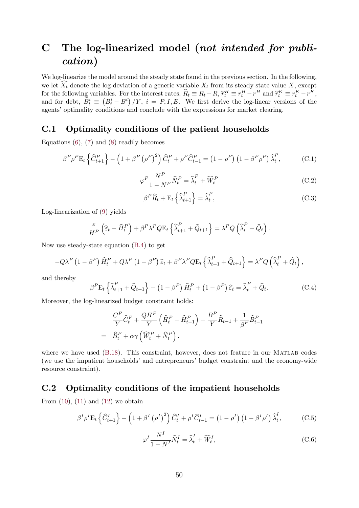# C The log-linearized model (not intended for publication)

We log-linearize the model around the steady state found in the previous section. In the following, we let  $\widehat{X}_t$  denote the log-deviation of a generic variable  $X_t$  from its steady state value X, except for the following variables. For the interest rates,  $\widehat{R}_t \equiv R_t - R$ ,  $\widehat{r}_t^H \equiv r_t^H - r^H$  and  $\widehat{r}_t^K \equiv r_t^K - r^K$ , and for debt,  $\hat{B}_t^i \equiv (B_t^i - B^i)/Y$ ,  $i = P, I, E$ . We first derive the log-linear versions of the agents' optimality conditions and conclude with the expressions for market clearing.

### C.1 Optimality conditions of the patient households

Equations  $(6)$ ,  $(7)$  and  $(8)$  readily becomes

<span id="page-50-0"></span>
$$
\beta^P \rho^P E_t \left\{ \hat{C}_{t+1}^P \right\} - \left( 1 + \beta^P \left( \rho^P \right)^2 \right) \hat{C}_t^P + \rho^P \hat{C}_{t-1}^P = \left( 1 - \rho^P \right) \left( 1 - \beta^P \rho^P \right) \hat{\lambda}_t^P, \tag{C.1}
$$

$$
\varphi^P \frac{N^P}{1 - N^P} \widehat{N}_t^P = \widehat{\lambda}_t^P + \widehat{W}_t^P
$$
\n(C.2)

$$
\beta^P \widehat{R}_t + \mathcal{E}_t \left\{ \widehat{\lambda}_{t+1}^P \right\} = \widehat{\lambda}_t^P, \tag{C.3}
$$

Log-linearization of [\(9\)](#page-9-1) yields

$$
\frac{\varepsilon}{H^P} \left( \widehat{\varepsilon}_t - \widehat{H}_t^P \right) + \beta^P \lambda^P Q \mathbf{E}_t \left\{ \widehat{\lambda}_{t+1}^P + \widehat{Q}_{t+1} \right\} = \lambda^P Q \left( \widehat{\lambda}_t^P + \widehat{Q}_t \right).
$$

Now use steady-state equation [\(B.4\)](#page-8-1) to get

$$
-Q\lambda^{P}\left(1-\beta^{P}\right)\widehat{H}_{t}^{P}+Q\lambda^{P}\left(1-\beta^{P}\right)\widehat{\varepsilon}_{t}+\beta^{P}\lambda^{P}Q\mathbf{E}_{t}\left\{\widehat{\lambda}_{t+1}^{P}+\widehat{Q}_{t+1}\right\}=\lambda^{P}Q\left(\widehat{\lambda}_{t}^{P}+\widehat{Q}_{t}\right),
$$

and thereby

$$
\beta^P \mathbf{E}_t \left\{ \widehat{\lambda}_{t+1}^P + \widehat{Q}_{t+1} \right\} - \left( 1 - \beta^P \right) \widehat{H}_t^P + \left( 1 - \beta^P \right) \widehat{\varepsilon}_t = \widehat{\lambda}_t^P + \widehat{Q}_t. \tag{C.4}
$$

Moreover, the log-linearized budget constraint holds:

$$
\frac{C^P}{Y}\widehat{C}_t^P + \frac{QH^P}{Y}\left(\widehat{H}_t^P - \widehat{H}_{t-1}^P\right) + \frac{B^P}{Y}\widehat{R}_{t-1} + \frac{1}{\beta^P}\widehat{B}_{t-1}^P
$$
\n
$$
= \widehat{B}_t^P + \alpha \gamma \left(\widehat{W}_t^P + \widehat{N}_t^P\right).
$$

where we have used [\(B.18\)](#page-10-3). This constraint, however, does not feature in our MATLAB codes (we use the impatient households' and entrepreneurs' budget constraint and the economy-wide resource constraint).

#### C.2 Optimality conditions of the impatient households

From  $(10)$ ,  $(11)$  and  $(12)$  we obtain

$$
\beta^I \rho^I \mathbf{E}_t \left\{ \widehat{C}_{t+1}^I \right\} - \left( 1 + \beta^I \left( \rho^I \right)^2 \right) \widehat{C}_t^I + \rho^I \widehat{C}_{t-1}^I = \left( 1 - \rho^I \right) \left( 1 - \beta^I \rho^I \right) \widehat{\lambda}_t^I, \tag{C.5}
$$

$$
\varphi^I \frac{N^I}{1 - N^I} \widehat{N}_t^I = \widehat{\lambda}_t^I + \widehat{W}_t^I,
$$
\n(C.6)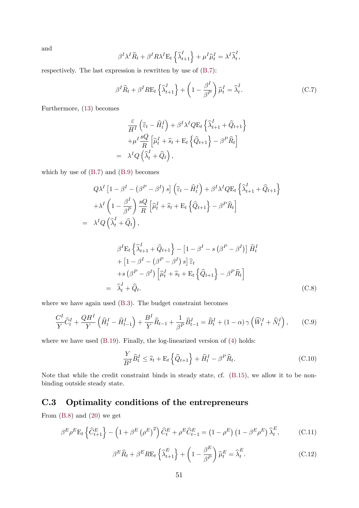and

$$
\beta^I \lambda^I \widehat{R}_t + \beta^I R \lambda^I E_t \left\{ \widehat{\lambda}_{t+1}^I \right\} + \mu^I \widehat{\mu}_t^I = \lambda^I \widehat{\lambda}_t^I,
$$

respectively. The last expression is rewritten by use of [\(B.7\)](#page-44-0):

$$
\beta^I \widehat{R}_t + \beta^I R E_t \left\{ \widehat{\lambda}_{t+1}^I \right\} + \left( 1 - \frac{\beta^I}{\beta^P} \right) \widehat{\mu}_t^I = \widehat{\lambda}_t^I. \tag{C.7}
$$

Furthermore, [\(13\)](#page-9-3) becomes

$$
\frac{\varepsilon}{H^I} \left( \widehat{\varepsilon}_t - \widehat{H}_t^I \right) + \beta^I \lambda^I Q E_t \left\{ \widehat{\lambda}_{t+1}^I + \widehat{Q}_{t+1} \right\} \n+ \mu^I \frac{sQ}{R} \left[ \widehat{\mu}_t^I + \widehat{s}_t + E_t \left\{ \widehat{Q}_{t+1} \right\} - \beta^P \widehat{R}_t \right] \n= \lambda^I Q \left( \widehat{\lambda}_t^I + \widehat{Q}_t \right),
$$

which by use of [\(B.7\)](#page-44-0) and [\(B.9\)](#page-9-1) becomes

$$
Q\lambda^{I} \left[1 - \beta^{I} - (\beta^{P} - \beta^{I}) s\right] \left(\hat{\varepsilon}_{t} - \hat{H}_{t}^{I}\right) + \beta^{I}\lambda^{I}QE_{t} \left\{\hat{\lambda}_{t+1}^{I} + \hat{Q}_{t+1}\right\} + \lambda^{I} \left(1 - \frac{\beta^{I}}{\beta^{P}}\right) \frac{sQ}{R} \left[\hat{\mu}_{t}^{I} + \hat{s}_{t} + E_{t} \left\{\hat{Q}_{t+1}\right\} - \beta^{P} \hat{R}_{t}\right] = \lambda^{I} Q \left(\hat{\lambda}_{t}^{I} + \hat{Q}_{t}\right),
$$

$$
\beta^{I} \mathbf{E}_{t} \left\{ \widehat{\lambda}_{t+1}^{I} + \widehat{Q}_{t+1} \right\} - \left[ 1 - \beta^{I} - s \left( \beta^{P} - \beta^{I} \right) \right] \widehat{H}_{t}^{I} \n+ \left[ 1 - \beta^{I} - \left( \beta^{P} - \beta^{I} \right) s \right] \widehat{\epsilon}_{t} \n+ s \left( \beta^{P} - \beta^{I} \right) \left[ \widehat{\mu}_{t}^{I} + \widehat{s}_{t} + \mathbf{E}_{t} \left\{ \widehat{Q}_{t+1} \right\} - \beta^{P} \widehat{R}_{t} \right] \n= \widehat{\lambda}_{t}^{I} + \widehat{Q}_{t}.
$$
\n(C.8)

where we have again used [\(B.3\)](#page-8-0). The budget constraint becomes

$$
\frac{C^I}{Y}\widehat{C}_t^I + \frac{QH^I}{Y}\left(\widehat{H}_t^I - \widehat{H}_{t-1}^I\right) + \frac{B^I}{Y}\widehat{R}_{t-1} + \frac{1}{\beta^P}\widehat{B}_{t-1}^I = \widehat{B}_t^I + (1-\alpha)\gamma\left(\widehat{W}_t^I + \widehat{N}_t^I\right),\tag{C.9}
$$

where we have used [\(B.19\)](#page-10-3). Finally, the log-linearized version of [\(4\)](#page-8-1) holds:

$$
\frac{Y}{B^I}\widehat{B}_t^I \le \widehat{s}_t + \mathcal{E}_t \left\{\widehat{Q}_{t+1}\right\} + \widehat{H}_t^I - \beta^P \widehat{R}_t. \tag{C.10}
$$

Note that while the credit constraint binds in steady state, cf. [\(B.15\)](#page-9-5), we allow it to be nonbinding outside steady state.

## C.3 Optimality conditions of the entrepreneurs

From  $(B.8)$  and  $(20)$  we get

$$
\beta^{E} \rho^{E} \mathbf{E}_{t} \left\{ \widehat{C}_{t+1}^{E} \right\} - \left( 1 + \beta^{E} \left( \rho^{E} \right)^{2} \right) \widehat{C}_{t}^{E} + \rho^{E} \widehat{C}_{t-1}^{E} = \left( 1 - \rho^{E} \right) \left( 1 - \beta^{E} \rho^{E} \right) \widehat{\lambda}_{t}^{E}, \tag{C.11}
$$

$$
\beta^{E}\widehat{R}_{t} + \beta^{E}R\mathbf{E}_{t}\left\{\widehat{\lambda}_{t+1}^{E}\right\} + \left(1 - \frac{\beta^{E}}{\beta^{P}}\right)\widehat{\mu}_{t}^{E} = \widehat{\lambda}_{t}^{E}.
$$
\n(C.12)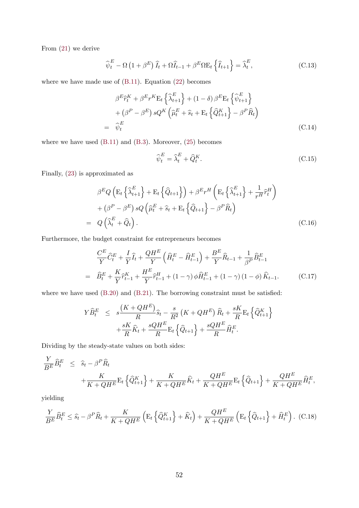From [\(21\)](#page-10-6) we derive

$$
\widehat{\psi}_t^E - \Omega \left( 1 + \beta^E \right) \widehat{I}_t + \Omega \widehat{I}_{t-1} + \beta^E \Omega E_t \left\{ \widehat{I}_{t+1} \right\} = \widehat{\lambda}_t^E, \tag{C.13}
$$

where we have made use of  $(B.11)$ . Equation  $(22)$  becomes

$$
\beta^{E} \hat{r}_{t}^{K} + \beta^{E} r^{K} \mathbf{E}_{t} \left\{ \hat{\lambda}_{t+1}^{E} \right\} + (1 - \delta) \beta^{E} \mathbf{E}_{t} \left\{ \hat{\psi}_{t+1}^{E} \right\} + \left( \beta^{P} - \beta^{E} \right) s Q^{K} \left( \hat{\mu}_{t}^{E} + \hat{s}_{t} + \mathbf{E}_{t} \left\{ \hat{Q}_{t+1}^{K} \right\} - \beta^{P} \hat{R}_{t} \right) = \hat{\psi}_{t}^{E}
$$
\n(C.14)

where we have used [\(B.11\)](#page-45-0) and [\(B.3\)](#page-8-0). Moreover, [\(25\)](#page-11-1) becomes

$$
\widehat{\psi}_t^E = \widehat{\lambda}_t^E + \widehat{Q}_t^K.
$$
\n(C.15)

Finally, [\(23\)](#page-11-0) is approximated as

$$
\beta^{E} Q\left(\mathbf{E}_{t}\left\{\widehat{\lambda}_{t+1}^{E}\right\} + \mathbf{E}_{t}\left\{\widehat{Q}_{t+1}\right\}\right) + \beta^{E} r^{H}\left(\mathbf{E}_{t}\left\{\widehat{\lambda}_{t+1}^{E}\right\} + \frac{1}{r^{H}}\widehat{r}_{t}^{H}\right) + \left(\beta^{P} - \beta^{E}\right) sQ\left(\widehat{\mu}_{t}^{E} + \widehat{s}_{t} + \mathbf{E}_{t}\left\{\widehat{Q}_{t+1}\right\} - \beta^{P}\widehat{R}_{t}\right) = Q\left(\widehat{\lambda}_{t}^{E} + \widehat{Q}_{t}\right).
$$
\n(C.16)

Furthermore, the budget constraint for entrepreneurs becomes

$$
\frac{C^{E}}{Y}\hat{C}_{t}^{E} + \frac{I}{Y}\hat{I}_{t} + \frac{QH^{E}}{Y}\left(\hat{H}_{t}^{E} - \hat{H}_{t-1}^{E}\right) + \frac{B^{E}}{Y}\hat{R}_{t-1} + \frac{1}{\beta^{P}}\hat{B}_{t-1}^{E}
$$
\n
$$
= \hat{B}_{t}^{E} + \frac{K}{Y}\hat{r}_{t-1}^{K} + \frac{H^{E}}{Y}\hat{r}_{t-1}^{H} + (1 - \gamma)\phi\hat{H}_{t-1}^{E} + (1 - \gamma)(1 - \phi)\hat{K}_{t-1}.
$$
\n(C.17)

where we have used  $(B.20)$  and  $(B.21)$ . The borrowing constraint must be satisfied:

$$
Y\widehat{B}_t^E \leq s \frac{\left(K + QH^E\right)}{R} \widehat{s}_t - \frac{s}{R^2} \left(K + QH^E\right) \widehat{R}_t + \frac{sK}{R} \mathcal{E}_t \left\{\widehat{Q}_{t+1}^K\right\} + \frac{sK}{R} \widehat{K}_t + \frac{sQH^E}{R} \mathcal{E}_t \left\{\widehat{Q}_{t+1}\right\} + \frac{sQH^E}{R} \widehat{H}_t^E.
$$

Dividing by the steady-state values on both sides:

$$
\frac{Y}{B^E} \hat{B}_t^E \leq \hat{s}_t - \beta^P \hat{R}_t \n+ \frac{K}{K + QH^E} \mathcal{E}_t \left\{ \hat{Q}_{t+1}^K \right\} + \frac{K}{K + QH^E} \hat{K}_t + \frac{QH^E}{K + QH^E} \mathcal{E}_t \left\{ \hat{Q}_{t+1} \right\} + \frac{QH^E}{K + QH^E} \hat{H}_t^E,
$$

yielding

$$
\frac{Y}{B^E}\widehat{B}_t^E \le \widehat{s}_t - \beta^P \widehat{R}_t + \frac{K}{K + QH^E} \left( \mathcal{E}_t \left\{ \widehat{Q}_{t+1}^K \right\} + \widehat{K}_t \right) + \frac{QH^E}{K + QH^E} \left( \mathcal{E}_t \left\{ \widehat{Q}_{t+1} \right\} + \widehat{H}_t^E \right). \tag{C.18}
$$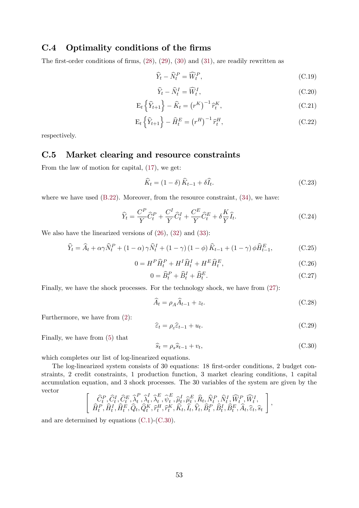### C.4 Optimality conditions of the firms

The first-order conditions of firms,  $(28)$ ,  $(29)$ ,  $(30)$  and  $(31)$ , are readily rewritten as

$$
\widehat{Y}_t - \widehat{N}_t^P = \widehat{W}_t^P,\tag{C.19}
$$

$$
\widehat{Y}_t - \widehat{N}_t^I = \widehat{W}_t^I,\tag{C.20}
$$

$$
E_t \left\{ \hat{Y}_{t+1} \right\} - \hat{K}_t = \left( r^K \right)^{-1} \hat{r}_t^K,
$$
\n(C.21)

$$
\mathbf{E}_t \left\{ \widehat{Y}_{t+1} \right\} - \widehat{H}_t^E = \left( r^H \right)^{-1} \widehat{r}_t^H, \tag{C.22}
$$

respectively.

### C.5 Market clearing and resource constraints

From the law of motion for capital, [\(17\)](#page-10-4), we get:

$$
\widehat{K}_t = (1 - \delta) \widehat{K}_{t-1} + \delta \widehat{I}_t. \tag{C.23}
$$

where we have used  $(B.22)$ . Moreover, from the resource constraint,  $(34)$ , we have:

$$
\widehat{Y}_t = \frac{C^P}{Y}\widehat{C}_t^P + \frac{C^I}{Y}\widehat{C}_t^I + \frac{C^E}{Y}\widehat{C}_t^E + \delta\frac{K}{Y}\widehat{I}_t.
$$
\n(C.24)

We also have the linearized versions of  $(26)$ ,  $(32)$  and  $(33)$ :

$$
\widehat{Y}_t = \widehat{A}_t + \alpha \gamma \widehat{N}_t^P + (1 - \alpha) \gamma \widehat{N}_t^I + (1 - \gamma) (1 - \phi) \widehat{K}_{t-1} + (1 - \gamma) \phi \widehat{H}_{t-1}^E,
$$
\n(C.25)

$$
0 = HP \widehat{H}_t^P + HI \widehat{H}_t^I + HE \widehat{H}_t^E,
$$
\n(C.26)

$$
0 = \widehat{B}_t^P + \widehat{B}_t^I + \widehat{B}_t^E. \tag{C.27}
$$

Finally, we have the shock processes. For the technology shock, we have from  $(27)$ :

$$
\widehat{A}_t = \rho_A \widehat{A}_{t-1} + z_t. \tag{C.28}
$$

Furthermore, we have from [\(2\)](#page-7-3):

$$
\widehat{\varepsilon}_t = \rho_\varepsilon \widehat{\varepsilon}_{t-1} + u_t. \tag{C.29}
$$

Finally, we have from [\(5\)](#page-8-2) that

<span id="page-53-0"></span>
$$
\widehat{s}_t = \rho_s \widehat{s}_{t-1} + v_t,\tag{C.30}
$$

which completes our list of log-linearized equations.

The log-linearized system consists of 30 equations: 18 first-order conditions, 2 budget constraints, 2 credit constraints, 1 production function, 3 market clearing conditions, 1 capital accumulation equation, and 3 shock processes. The 30 variables of the system are given by the vector

$$
\left[ \begin{array}{c} \widehat{C}^P_t, \widehat{C}^I_t, \widehat{C}^E_t, \widehat{\lambda}^P_t, \widehat{\lambda}^I_t, \widehat{\lambda}^E_t, \widehat{\psi}^E_t, \widehat{\mu}^I_t, \widehat{\mu}^E_t, \widehat{R}_t, \widehat{N}^P_t, \widehat{N}^I_t, \widehat{W}^P_t, \widehat{W}^I_t, \\ \widehat{H}^P_t, \widehat{H}^I_t, \widehat{H}^E_t, \widehat{Q}_t, \widehat{Q}^K_t, \widehat{r}^H_t, \widehat{r}^K_t, \widehat{K}_t, \widehat{I}_t, \widehat{Y}_t, \widehat{B}^P_t, \widehat{B}^I_t, \widehat{B}^E_t, \widehat{A}_t, \widehat{\varepsilon}_t, \widehat{s}_t \end{array} \right],
$$

and are determined by equations [\(C.1\)](#page-50-0)-[\(C.30\)](#page-53-0).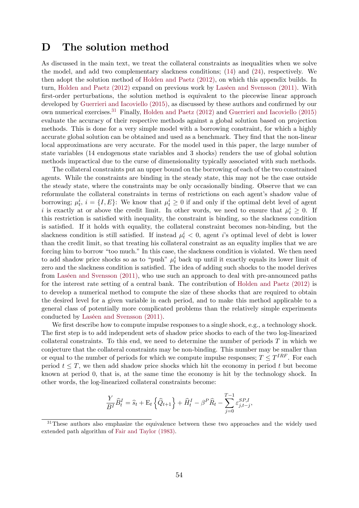## D The solution method

As discussed in the main text, we treat the collateral constraints as inequalities when we solve the model, and add two complementary slackness conditions; [\(14\)](#page-9-4) and [\(24\)](#page-11-4), respectively. We then adopt the solution method of [Holden and Paetz \(2012\),](#page-38-5) on which this appendix builds. In turn, [Holden and Paetz \(2012\)](#page-38-5) expand on previous work by Laséen and Svensson (2011). With first-order perturbations, the solution method is equivalent to the piecewise linear approach developed by [Guerrieri and Iacoviello \(2015\),](#page-38-6) as discussed by these authors and confirmed by our own numerical exercises.[31](#page-54-0) Finally, [Holden and Paetz \(2012\)](#page-38-5) and [Guerrieri and Iacoviello \(2015\)](#page-38-6) evaluate the accuracy of their respective methods against a global solution based on projection methods. This is done for a very simple model with a borrowing constraint, for which a highly accurate global solution can be obtained and used as a benchmark. They find that the non-linear local approximations are very accurate. For the model used in this paper, the large number of state variables (14 endogenous state variables and 3 shocks) renders the use of global solution methods impractical due to the curse of dimensionality typically associated with such methods.

The collateral constraints put an upper bound on the borrowing of each of the two constrained agents. While the constraints are binding in the steady state, this may not be the case outside the steady state, where the constraints may be only occasionally binding. Observe that we can reformulate the collateral constraints in terms of restrictions on each agent's shadow value of borrowing;  $\mu_t^i$ ,  $i = \{I, E\}$ : We know that  $\mu_t^i \geq 0$  if and only if the optimal debt level of agent i is exactly at or above the credit limit. In other words, we need to ensure that  $\mu_t^i \geq 0$ . If this restriction is satisfied with inequality, the constraint is binding, so the slackness condition is satisfied. If it holds with equality, the collateral constraint becomes non-binding, but the slackness condition is still satisfied. If instead  $\mu_t^i < 0$ , agent *i*'s optimal level of debt is lower than the credit limit, so that treating his collateral constraint as an equality implies that we are forcing him to borrow "too much." In this case, the slackness condition is violated. We then need to add shadow price shocks so as to "push"  $\mu_t^i$  back up until it exactly equals its lower limit of zero and the slackness condition is satisfied. The idea of adding such shocks to the model derives from Laséen and Svensson (2011), who use such an approach to deal with pre-announced paths for the interest rate setting of a central bank. The contribution of [Holden and Paetz \(2012\)](#page-38-5) is to develop a numerical method to compute the size of these shocks that are required to obtain the desired level for a given variable in each period, and to make this method applicable to a general class of potentially more complicated problems than the relatively simple experiments conducted by Laséen and Svensson (2011).

We first describe how to compute impulse responses to a single shock, e.g., a technology shock. The first step is to add independent sets of shadow price shocks to each of the two log-linearized collateral constraints. To this end, we need to determine the number of periods  $T$  in which we conjecture that the collateral constraints may be non-binding. This number may be smaller than or equal to the number of periods for which we compute impulse responses;  $T \leq T^{IRF}$ . For each period  $t \leq T$ , we then add shadow price shocks which hit the economy in period t but become known at period 0, that is, at the same time the economy is hit by the technology shock. In other words, the log-linearized collateral constraints become:

$$
\frac{Y}{B^I}\widehat{B}_t^I = \widehat{s}_t + \mathcal{E}_t \left\{\widehat{Q}_{t+1}\right\} + \widehat{H}_t^I - \beta^P \widehat{R}_t - \sum_{j=0}^{T-1} \varepsilon_{j,t-j}^{SP,I},
$$

<span id="page-54-0"></span> $31$ These authors also emphasize the equivalence between these two approaches and the widely used extended path algorithm of [Fair and Taylor \(1983\).](#page-37-6)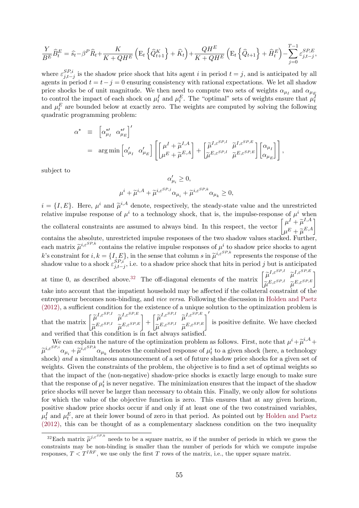$$
\frac{Y}{B^E}\widehat{B}_t^E = \widehat{s}_t - \beta^P \widehat{R}_t + \frac{K}{K + QH^E} \left( \mathcal{E}_t \left\{ \widehat{Q}_{t+1}^K \right\} + \widehat{K}_t \right) + \frac{QH^E}{K + QH^E} \left( \mathcal{E}_t \left\{ \widehat{Q}_{t+1} \right\} + \widehat{H}_t^E \right) - \sum_{j=0}^{T-1} \varepsilon_{j,t-j}^{SP,E},
$$

where  $\varepsilon_{i,t-}^{SP,i}$  $j_{j,t-j}^{S,P,i}$  is the shadow price shock that hits agent i in period  $t = j$ , and is anticipated by all agents in period  $t = t - j = 0$  ensuring consistency with rational expectations. We let all shadow price shocks be of unit magnitude. We then need to compute two sets of weights  $\alpha_{\mu}$  and  $\alpha_{\mu}$ to control the impact of each shock on  $\mu_t^I$  and  $\mu_t^E$ . The "optimal" sets of weights ensure that  $\mu_t^I$ and  $\mu_t^E$  are bounded below at exactly zero. The weights are computed by solving the following quadratic programming problem:

$$
\begin{array}{rcl}\n\alpha^* & \equiv & \left[\alpha_{\mu_I}^{*\prime} \quad \alpha_{\mu_E}^{*\prime}\right]'\n\\
& = & \arg\min\left[\alpha_{\mu_I}^\prime \quad \alpha_{\mu_E}^\prime\right] \left[\begin{bmatrix} \mu^I + \widetilde{\mu}^{I,A} \\
\mu^E + \widetilde{\mu}^{E,A}\end{bmatrix} + \begin{bmatrix} \widetilde{\mu}^{I,\varepsilon^{SP,I}} & \widetilde{\mu}^{I,\varepsilon^{SP,E}} \\
\widetilde{\mu}^{E,\varepsilon^{SP,I}} & \widetilde{\mu}^{E,\varepsilon^{SP,E}}\end{bmatrix} \begin{bmatrix} \alpha_{\mu_I} \\
\alpha_{\mu_E} \end{bmatrix}\right],\n\end{array}
$$

subject to

$$
\alpha'_{\mu_i} \ge 0,
$$
  

$$
\mu^i + \widetilde{\mu}^{i,A} + \widetilde{\mu}^{i,\varepsilon^{SP,j}} \alpha_{\mu_i} + \widetilde{\mu}^{i,\varepsilon^{SP,k}} \alpha_{\mu_k} \ge 0,
$$

 $i = \{I, E\}$ . Here,  $\mu^{i}$  and  $\tilde{\mu}^{i,A}$  denote, respectively, the steady-state value and the unrestricted relative impulse response of  $\mu^{i}$  to a technology shock, that is, the impulse-response of  $\mu^{i}$  when the collateral constraints are assumed to always bind. In this respect, the vector  $\begin{bmatrix} \mu^I + \tilde{\mu}^{I,A} \\ \mu E + \tilde{\mu}^{E,A} \end{bmatrix}$ E the conductor constraints are assumed to always small. In this response, the vector  $\left[\mu^E + \tilde{\mu}^{E,A}\right]$  contains the absolute, unrestricted impulse responses of the two shadow values stacked. Further, each matrix  $\tilde{\mu}^{i,\varepsilon^{SP,k}}$  contains the relative impulse responses of  $\mu^{i}$  to shadow price shocks to agent k's constraint for  $i, k = \{I, E\}$ , in the sense that column s in  $\tilde{\mu}^{i, \varepsilon^{SP,k}}$  represents the response of the shadow value to a shock  $\varepsilon_{i,t-}^{SP,i}$  $j,t-j$ , i.e. to a shadow price shock that hits in period j but is anticipated at time 0, as described above.<sup>[32](#page-55-0)</sup> The off-diagonal elements of the matrix  $\begin{bmatrix} \widetilde{\mu}^{I,\varepsilon^{SP,I}} & \widetilde{\mu}^{I,\varepsilon^{SP,E}} \\ \widetilde{\kappa}_{F,\varepsilon^{SP,I}} & \widetilde{\kappa}_{F,\varepsilon^{SP,I}} \end{bmatrix}$  $\widetilde{\mu}^{E,\varepsilon^{SP,I}}$   $\widetilde{\mu}$  $\begin{bmatrix} I, \varepsilon^{S F, E} \ E, \varepsilon^{S P, E} \end{bmatrix}$ take into account that the impatient household may be affected if the collateral constraint of the entrepreneur becomes non-binding, and vice versa. Following the discussion in [Holden and Paetz](#page-38-5)  $(2012)$ , a sufficient condition for the existence of a unique solution to the optimization problem is that the matrix  $\begin{bmatrix} \widetilde{\mu}^{I,\varepsilon^{SP,I}} & \widetilde{\mu}^{I,\varepsilon^{SP,E}} \\ \sim_{E,\varepsilon^{SP,I}} & \sim_{E,\varepsilon^{SP,I}} \end{bmatrix}$  $\left[ \begin{array}{cc} \widetilde{\mu}^{I,\varepsilon^{SP,I}} & \widetilde{\mu}^{I,\varepsilon^{SP,E}} \ \cdots & \widetilde{\mu}^{I,\varepsilon^{SP,E}} \end{array} \right]$ 

 $\widetilde{\mu}^{E,\varepsilon^{SP,I}}$   $\widetilde{\mu}$ <br>this condit  $\left. \frac{L \varepsilon^{S F, E}}{E, \varepsilon^{S P, E}} \right] +$  $\widetilde{\mu}^{E,\varepsilon^{SP,I}}$   $\widetilde{\mu}$ <br>talways sa  $\left[ \frac{I_{\varepsilon}^{SP,E}}{E_{\varepsilon} \varepsilon^{SP,E}} \right]$  is positive definite. We have checked and verified that this condition is in fact always satisfied.

We can explain the nature of the optimization problem as follows. First, note that  $\mu^{i} + \tilde{\mu}^{i,A} + \tilde{\mu}^{i,A}$  $\tilde{\mu}^{i, \varepsilon^{SP,i}} \alpha_{\mu_i} + \tilde{\mu}^{i, \varepsilon^{SP,k}} \alpha_{\mu_k}$  denotes the combined response of  $\mu_t^i$  to a given shock (here, a technology shock) and a simultaneous announcement of a set of future shadow price shocks for a given set of weights. Given the constraints of the problem, the objective is to find a set of optimal weights so that the impact of the (non-negative) shadow-price shocks is exactly large enough to make sure that the response of  $\mu_t^i$  is never negative. The minimization ensures that the impact of the shadow price shocks will never be larger than necessary to obtain this. Finally, we only allow for solutions for which the value of the objective function is zero. This ensures that at any given horizon, positive shadow price shocks occur if and only if at least one of the two constrained variables,  $\mu_t^I$  and  $\mu_t^E$ , are at their lower bound of zero in that period. As pointed out by [Holden and Paetz](#page-38-5) [\(2012\),](#page-38-5) this can be thought of as a complementary slackness condition on the two inequality

<span id="page-55-0"></span><sup>&</sup>lt;sup>32</sup>Each matrix  $\tilde{\mu}^{j,\varepsilon^{S,P,k}}$  needs to be a square matrix, so if the number of periods in which we guess the constraints may be non-binding is smaller than the number of periods for which we compute impulse responses,  $T < T^{IRF}$ , we use only the first T rows of the matrix, i.e., the upper square matrix.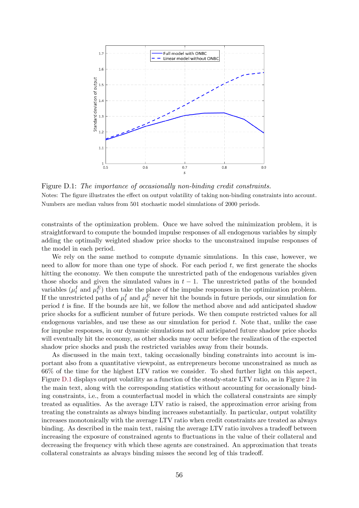

<span id="page-56-0"></span>Figure D.1: The importance of occasionally non-binding credit constraints. Notes: The figure illustrates the effect on output volatility of taking non-binding constraints into account. Numbers are median values from 501 stochastic model simulations of 2000 periods.

constraints of the optimization problem. Once we have solved the minimization problem, it is straightforward to compute the bounded impulse responses of all endogenous variables by simply adding the optimally weighted shadow price shocks to the unconstrained impulse responses of the model in each period.

We rely on the same method to compute dynamic simulations. In this case, however, we need to allow for more than one type of shock. For each period  $t$ , we first generate the shocks hitting the economy. We then compute the unrestricted path of the endogenous variables given those shocks and given the simulated values in  $t - 1$ . The unrestricted paths of the bounded variables  $(\mu_t^I$  and  $\mu_t^E)$  then take the place of the impulse responses in the optimization problem. If the unrestricted paths of  $\mu_t^I$  and  $\mu_t^E$  never hit the bounds in future periods, our simulation for period  $t$  is fine. If the bounds are hit, we follow the method above and add anticipated shadow price shocks for a sufficient number of future periods. We then compute restricted values for all endogenous variables, and use these as our simulation for period  $t$ . Note that, unlike the case for impulse responses, in our dynamic simulations not all anticipated future shadow price shocks will eventually hit the economy, as other shocks may occur before the realization of the expected shadow price shocks and push the restricted variables away from their bounds.

As discussed in the main text, taking occasionally binding constraints into account is important also from a quantitative viewpoint, as entrepreneurs become unconstrained as much as 66% of the time for the highest LTV ratios we consider. To shed further light on this aspect, Figure [D.1](#page-56-0) displays output volatility as a function of the steady-state LTV ratio, as in Figure [2](#page-18-0) in the main text, along with the corresponding statistics without accounting for occasionally binding constraints, i.e., from a counterfactual model in which the collateral constraints are simply treated as equalities. As the average LTV ratio is raised, the approximation error arising from treating the constraints as always binding increases substantially. In particular, output volatility increases monotonically with the average LTV ratio when credit constraints are treated as always binding. As described in the main text, raising the average LTV ratio involves a tradeoff between increasing the exposure of constrained agents to fluctuations in the value of their collateral and decreasing the frequency with which these agents are constrained. An approximation that treats collateral constraints as always binding misses the second leg of this tradeoff.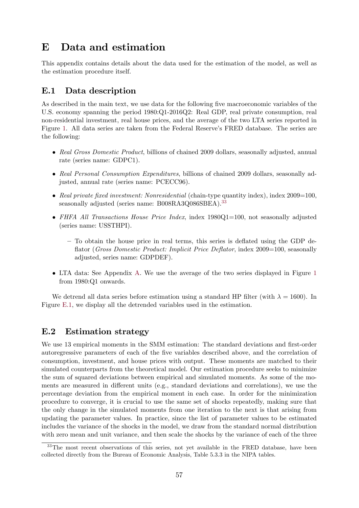## E Data and estimation

This appendix contains details about the data used for the estimation of the model, as well as the estimation procedure itself.

## E.1 Data description

As described in the main text, we use data for the following five macroeconomic variables of the U.S. economy spanning the period 1980:Q1-2016Q2: Real GDP, real private consumption, real non-residential investment, real house prices, and the average of the two LTA series reported in Figure [1.](#page-2-0) All data series are taken from the Federal Reserve's FRED database. The series are the following:

- Real Gross Domestic Product, billions of chained 2009 dollars, seasonally adjusted, annual rate (series name: GDPC1).
- Real Personal Consumption Expenditures, billions of chained 2009 dollars, seasonally adjusted, annual rate (series name: PCECC96).
- Real private fixed investment: Nonresidential (chain-type quantity index), index  $2009=100$ , seasonally adjusted (series name: B008RA3Q086SBEA).<sup>[33](#page-57-0)</sup>
- FHFA All Transactions House Price Index, index 1980Q1=100, not seasonally adjusted (series name: USSTHPI).
	- $\overline{\phantom{a}}$  To obtain the house price in real terms, this series is deflated using the GDP deflator (Gross Domestic Product: Implicit Price Deflator, index 2009=100, seasonally adjusted, series name: GDPDEF).
- LTA data: See Appendix [A.](#page-1-1) We use the average of the two series displayed in Figure [1](#page-2-0) from 1980:Q1 onwards.

We detrend all data series before estimation using a standard HP filter (with  $\lambda = 1600$ ). In Figure [E.1,](#page-58-0) we display all the detrended variables used in the estimation.

### E.2 Estimation strategy

We use 13 empirical moments in the SMM estimation: The standard deviations and first-order autoregressive parameters of each of the five variables described above, and the correlation of consumption, investment, and house prices with output. These moments are matched to their simulated counterparts from the theoretical model. Our estimation procedure seeks to minimize the sum of squared deviations between empirical and simulated moments. As some of the moments are measured in different units (e.g., standard deviations and correlations), we use the percentage deviation from the empirical moment in each case. In order for the minimization procedure to converge, it is crucial to use the same set of shocks repeatedly, making sure that the only change in the simulated moments from one iteration to the next is that arising from updating the parameter values. In practice, since the list of parameter values to be estimated includes the variance of the shocks in the model, we draw from the standard normal distribution with zero mean and unit variance, and then scale the shocks by the variance of each of the three

<span id="page-57-0"></span><sup>&</sup>lt;sup>33</sup>The most recent observations of this series, not yet available in the FRED database, have been collected directly from the Bureau of Economic Analysis, Table 5.3.3 in the NIPA tables.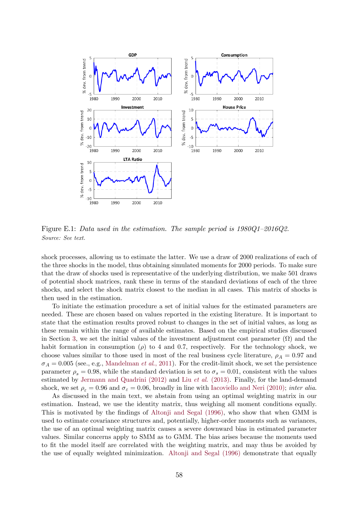

<span id="page-58-0"></span>Figure E.1: Data used in the estimation. The sample period is  $1980Q1 - 2016Q2$ . Source: See text.

shock processes, allowing us to estimate the latter. We use a draw of 2000 realizations of each of the three shocks in the model, thus obtaining simulated moments for 2000 periods. To make sure that the draw of shocks used is representative of the underlying distribution, we make 501 draws of potential shock matrices, rank these in terms of the standard deviations of each of the three shocks, and select the shock matrix closest to the median in all cases. This matrix of shocks is then used in the estimation.

To initiate the estimation procedure a set of initial values for the estimated parameters are needed. These are chosen based on values reported in the existing literature. It is important to state that the estimation results proved robust to changes in the set of initial values, as long as these remain within the range of available estimates. Based on the empirical studies discussed in Section [3,](#page-12-0) we set the initial values of the investment adjustment cost parameter  $(\Omega)$  and the habit formation in consumption ( $\rho$ ) to 4 and 0.7, respectively. For the technology shock, we choose values similar to those used in most of the real business cycle literature,  $\rho_A = 0.97$  and  $\sigma_A = 0.005$  (see., e.g., [Mandelman](#page-40-10) *et al.*, 2011). For the credit-limit shock, we set the persistence parameter  $\rho_s = 0.98$ , while the standard deviation is set to  $\sigma_s = 0.01$ , consistent with the values estimated by [Jermann and Quadrini \(2012\)](#page-39-7) and Liu et al[. \(2013\).](#page-39-2) Finally, for the land-demand shock, we set  $\rho_{\varepsilon} = 0.96$  and  $\sigma_{\varepsilon} = 0.06$ , broadly in line with [Iacoviello and Neri \(2010\);](#page-38-8) *inter alia.* 

As discussed in the main text, we abstain from using an optimal weighting matrix in our estimation. Instead, we use the identity matrix, thus weighing all moment conditions equally. This is motivated by the Öndings of [Altonji and Segal \(1996\),](#page-35-5) who show that when GMM is used to estimate covariance structures and, potentially, higher-order moments such as variances, the use of an optimal weighting matrix causes a severe downward bias in estimated parameter values. Similar concerns apply to SMM as to GMM. The bias arises because the moments used to fit the model itself are correlated with the weighting matrix, and may thus be avoided by the use of equally weighted minimization. [Altonji and Segal \(1996\)](#page-35-5) demonstrate that equally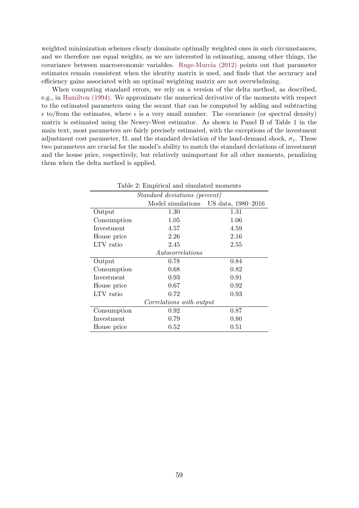weighted minimization schemes clearly dominate optimally weighted ones in such circumstances, and we therefore use equal weights, as we are interested in estimating, among other things, the covariance between macroeconomic variables. [Ruge-Murcia \(2012\)](#page-40-8) points out that parameter estimates remain consistent when the identity matrix is used, and finds that the accuracy and efficiency gains associated with an optimal weighting matrix are not overwhelming.

When computing standard errors, we rely on a version of the delta method, as described, e.g., in [Hamilton \(1994\).](#page-38-12) We approximate the numerical derivative of the moments with respect to the estimated parameters using the secant that can be computed by adding and subtracting  $\epsilon$  to/from the estimates, where  $\epsilon$  is a very small number. The covariance (or spectral density) matrix is estimated using the Newey-West estimator. As shown in Panel B of Table 1 in the main text, most parameters are fairly precisely estimated, with the exceptions of the investment adjustment cost parameter,  $\Omega$ , and the standard deviation of the land-demand shock,  $\sigma_{\varepsilon}$ . These two parameters are crucial for the model's ability to match the standard deviations of investment and the house price, respectively, but relatively unimportant for all other moments, penalizing them when the delta method is applied.

| Table 2: Empirical and simulated moments |          |                                      |  |  |
|------------------------------------------|----------|--------------------------------------|--|--|
| <i>Standard deviations (percent)</i>     |          |                                      |  |  |
|                                          |          | Model simulations US data, 1980-2016 |  |  |
| Output                                   | 1.30     | 1.31                                 |  |  |
| Consumption                              | 1.05     | 1.06                                 |  |  |
| Investment                               | 4.57     | 4.59                                 |  |  |
| House price                              | 2.26     | 2.16                                 |  |  |
| LTV ratio                                | 2.45     | 2.55                                 |  |  |
| <i>Autocorrelations</i>                  |          |                                      |  |  |
| Output                                   | 0.78     | 0.84                                 |  |  |
| Consumption                              | 0.68     | 0.82                                 |  |  |
| Investment                               | 0.93     | 0.91                                 |  |  |
| House price                              | 0.67     | 0.92                                 |  |  |
| LTV ratio                                | 0.72     | 0.93                                 |  |  |
| Correlations with output                 |          |                                      |  |  |
| Consumption                              | 0.92     | 0.87                                 |  |  |
| Investment                               | 0.79     | 0.80                                 |  |  |
| House price                              | $0.52\,$ | 0.51                                 |  |  |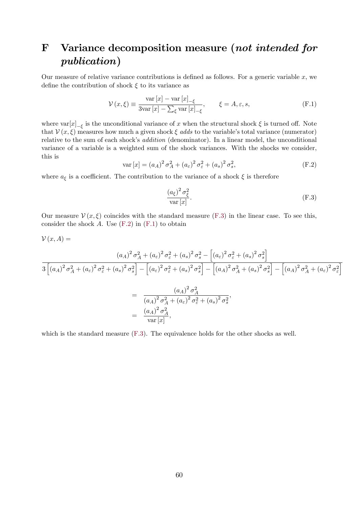# F Variance decomposition measure (not intended for publication)

Our measure of relative variance contributions is defined as follows. For a generic variable  $x$ , we define the contribution of shock  $\xi$  to its variance as

<span id="page-60-2"></span>
$$
\mathcal{V}(x,\xi) \equiv \frac{\text{var}[x] - \text{var}[x]_{-\xi}}{3\text{var}[x] - \sum_{\xi} \text{var}[x]_{-\xi}}, \qquad \xi = A, \varepsilon, s,
$$
\n(F.1)

where  $var[x]_{-\xi}$  is the unconditional variance of x when the structural shock  $\xi$  is turned off. Note that  $V(x,\xi)$  measures how much a given shock  $\xi$  adds to the variable's total variance (numerator) relative to the sum of each shock's *addition* (denominator). In a linear model, the unconditional variance of a variable is a weighted sum of the shock variances. With the shocks we consider, this is

<span id="page-60-1"></span>
$$
\text{var}\left[x\right] = \left(a_A\right)^2 \sigma_A^2 + \left(a_\varepsilon\right)^2 \sigma_\varepsilon^2 + \left(a_s\right)^2 \sigma_s^2,\tag{F.2}
$$

where  $a_{\xi}$  is a coefficient. The contribution to the variance of a shock  $\xi$  is therefore

<span id="page-60-0"></span>
$$
\frac{(a_{\xi})^2 \sigma_{\xi}^2}{\text{var}[x]}.
$$
 (F.3)

Our measure  $\mathcal{V}(x,\xi)$  coincides with the standard measure [\(F.3\)](#page-60-0) in the linear case. To see this, consider the shock  $A$ . Use  $(F.2)$  in  $(F.1)$  to obtain

$$
\mathcal{V}(x, A) =
$$
\n
$$
(a_{A})^{2} \sigma_{A}^{2} + (a_{\varepsilon})^{2} \sigma_{\varepsilon}^{2} + (a_{s})^{2} \sigma_{s}^{2} - \left[ (a_{\varepsilon})^{2} \sigma_{\varepsilon}^{2} + (a_{s})^{2} \sigma_{s}^{2} \right]
$$
\n
$$
3 \left[ (a_{A})^{2} \sigma_{A}^{2} + (a_{\varepsilon})^{2} \sigma_{\varepsilon}^{2} + (a_{s})^{2} \sigma_{s}^{2} \right] - \left[ (a_{\varepsilon})^{2} \sigma_{\varepsilon}^{2} + (a_{s})^{2} \sigma_{s}^{2} \right] - \left[ (a_{A})^{2} \sigma_{A}^{2} + (a_{s})^{2} \sigma_{s}^{2} \right] - \left[ (a_{A})^{2} \sigma_{A}^{2} + (a_{\varepsilon})^{2} \sigma_{\varepsilon}^{2} \right]
$$
\n
$$
= \frac{(a_{A})^{2} \sigma_{A}^{2}}{(a_{A})^{2} \sigma_{A}^{2} + (a_{\varepsilon})^{2} \sigma_{\varepsilon}^{2} + (a_{s})^{2} \sigma_{s}^{2}},
$$
\n
$$
= \frac{(a_{A})^{2} \sigma_{A}^{2}}{\operatorname{var}[x]},
$$

which is the standard measure  $(F.3)$ . The equivalence holds for the other shocks as well.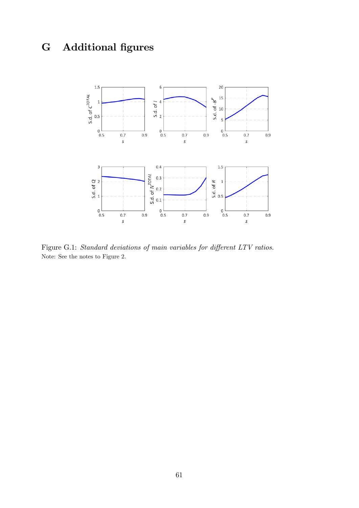# <span id="page-61-1"></span>G Additional figures



<span id="page-61-0"></span>Figure G.1: Standard deviations of main variables for different LTV ratios. Note: See the notes to Figure 2.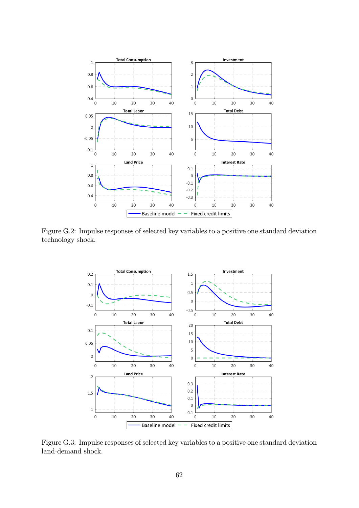

Figure G.2: Impulse responses of selected key variables to a positive one standard deviation technology shock.

<span id="page-62-0"></span>

Figure G.3: Impulse responses of selected key variables to a positive one standard deviation land-demand shock.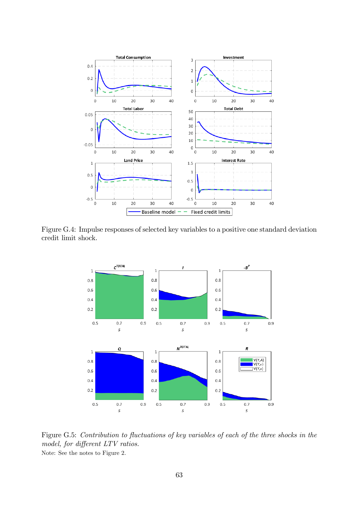

Figure G.4: Impulse responses of selected key variables to a positive one standard deviation credit limit shock.

<span id="page-63-0"></span>

<span id="page-63-1"></span>Figure G.5: Contribution to fluctuations of key variables of each of the three shocks in the model, for different  $LTV$  ratios. Note: See the notes to Figure 2.